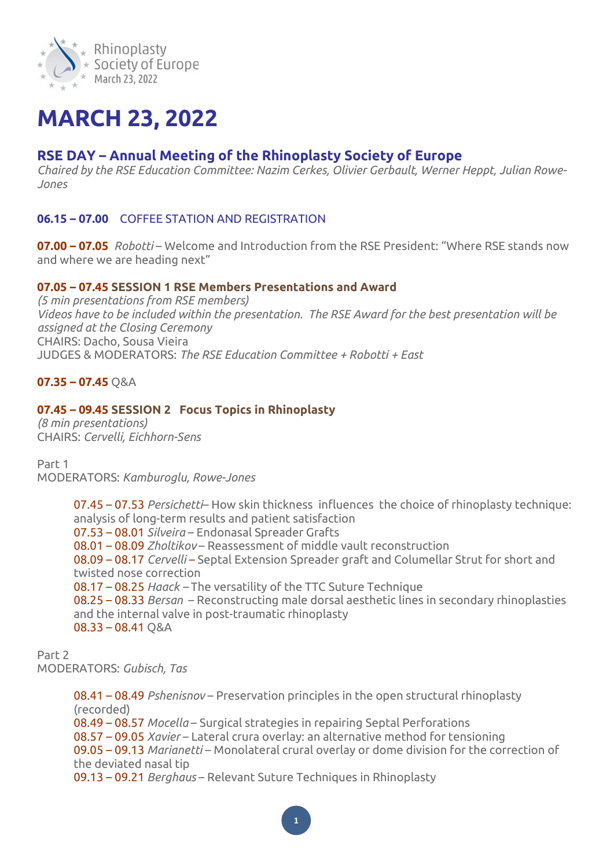

# **MARCH 23, 2022**

# **RSE DAY – Annual Meeting of the Rhinoplasty Society of Europe**

*Chaired by the RSE Education Committee: Nazim Cerkes, Olivier Gerbault, Werner Heppt, Julian Rowe-Jones*

## **06.15 – 07.00** COFFEE STATION AND REGISTRATION

**07.00 – 07.05** *Robotti* – Welcome and Introduction from the RSE President: "Where RSE stands now and where we are heading next"

## **07.05 – 07.45 SESSION 1 RSE Members Presentations and Award**

*(5 min presentations from RSE members) Videos have to be included within the presentation. The RSE Award for the best presentation will be assigned at the Closing Ceremony* CHAIRS: Dacho, Sousa Vieira JUDGES & MODERATORS: *The RSE Education Committee + Robotti + East*

## **07.35 – 07.45** Q&A

## **07.45 – 09.45 SESSION 2 Focus Topics in Rhinoplasty**

*(8 min presentations)* CHAIRS: *Cervelli, Eichhorn-Sens*

Part 1 MODERATORS: *Kamburoglu, Rowe-Jones*

> 07.45 – 07.53 *Persichetti*– How skin thickness influences the choice of rhinoplasty technique: analysis of long-term results and patient satisfaction 07.53 – 08.01 *Silveira* – Endonasal Spreader Grafts 08.01 – 08.09 *Zholtikov* – Reassessment of middle vault reconstruction 08.09 – 08.17 *Cervelli* – Septal Extension Spreader graft and Columellar Strut for short and twisted nose correction 08.17 – 08.25 *Haack –* The versatility of the TTC Suture Technique 08.25 – 08.33 *Bersan* – Reconstructing male dorsal aesthetic lines in secondary rhinoplasties and the internal valve in post-traumatic rhinoplasty  $08.33 - 08.41$  O&A

Part 2 MODERATORS: *Gubisch, Tas*

> 08.41 – 08.49 *Pshenisnov* – Preservation principles in the open structural rhinoplasty (recorded) 08.49 – 08.57 *Mocella* – Surgical strategies in repairing Septal Perforations 08.57 – 09.05 *Xavier* – Lateral crura overlay: an alternative method for tensioning 09.05 – 09.13 *Marianetti* – Monolateral crural overlay or dome division for the correction of the deviated nasal tip 09.13 – 09.21 *Berghaus* – Relevant Suture Techniques in Rhinoplasty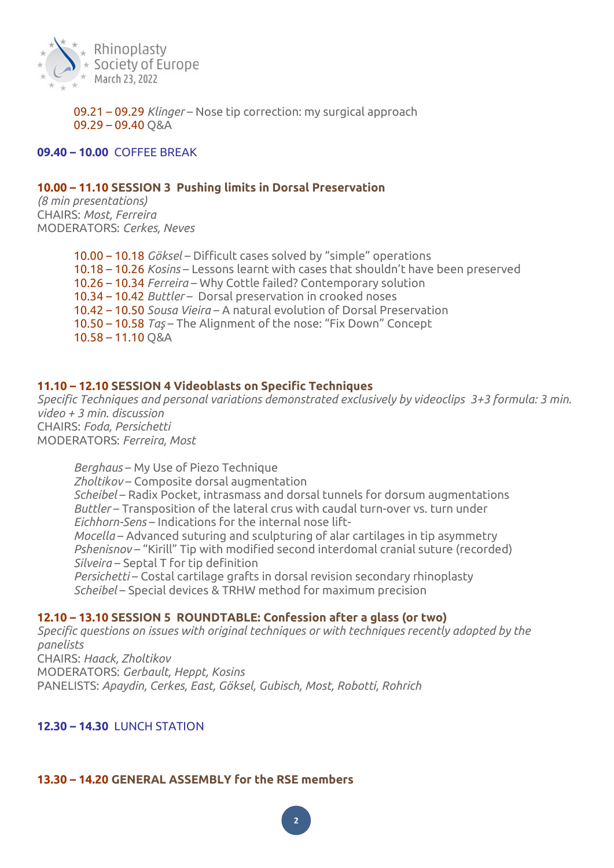

09.21 – 09.29 *Klinger* – Nose tip correction: my surgical approach 09.29 – 09.40 Q&A

#### **09.40 – 10.00** COFFEE BREAK

#### **10.00 – 11.10 SESSION 3 Pushing limits in Dorsal Preservation**

*(8 min presentations)* CHAIRS: *Most, Ferreira* MODERATORS: *Cerkes, Neves*

> 10.00 – 10.18 *Göksel* – Difficult cases solved by "simple" operations 10.18 – 10.26 *Kosins* – Lessons learnt with cases that shouldn't have been preserved 10.26 – 10.34 *Ferreira* – Why Cottle failed? Contemporary solution 10.34 – 10.42 *Buttler* – Dorsal preservation in crooked noses 10.42 – 10.50 *Sousa Vieira* – A natural evolution of Dorsal Preservation 10.50 – 10.58 *Taş* – The Alignment of the nose: "Fix Down" Concept 10.58 – 11.10 Q&A

#### **11.10 – 12.10 SESSION 4 Videoblasts on Specific Techniques**

*Specific Techniques and personal variations demonstrated exclusively by videoclips 3+3 formula: 3 min. video + 3 min. discussion* CHAIRS: *Foda, Persichetti* MODERATORS: *Ferreira, Most*

*Berghaus* – My Use of Piezo Technique *Zholtikov* – Composite dorsal augmentation *Scheibel* – Radix Pocket, intrasmass and dorsal tunnels for dorsum augmentations *Buttler* – Transposition of the lateral crus with caudal turn-over vs. turn under *Eichhorn-Sens* – Indications for the internal nose lift-*Mocella* – Advanced suturing and sculpturing of alar cartilages in tip asymmetry *Pshenisnov* – "Kirill" Tip with modified second interdomal cranial suture (recorded) *Silveira* – Septal T for tip definition *Persichetti* – Costal cartilage grafts in dorsal revision secondary rhinoplasty *Scheibel* – Special devices & TRHW method for maximum precision

#### **12.10 – 13.10 SESSION 5 ROUNDTABLE: Confession after a glass (or two)**

*Specific questions on issues with original techniques or with techniques recently adopted by the panelists* CHAIRS: *Haack, Zholtikov* MODERATORS: *Gerbault, Heppt, Kosins* PANELISTS: *Apaydin, Cerkes, East, Göksel, Gubisch, Most, Robotti, Rohrich*

#### **12.30 – 14.30** LUNCH STATION*■*

## **13.30 – 14.20 GENERAL ASSEMBLY for the RSE members**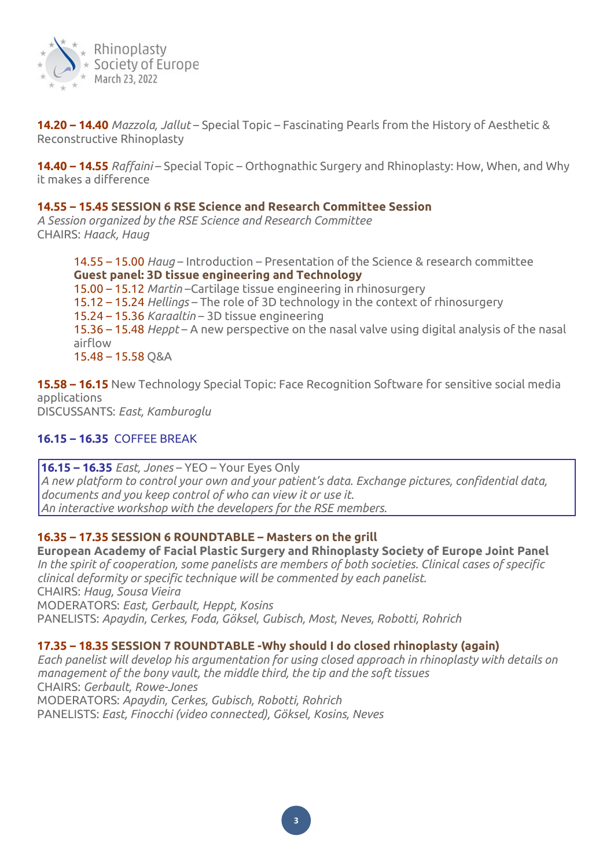

**14.20 – 14.40** *Mazzola, Jallut* – Special Topic – Fascinating Pearls from the History of Aesthetic & Reconstructive Rhinoplasty

**14.40 – 14.55** *Raffaini* – Special Topic – Orthognathic Surgery and Rhinoplasty: How, When, and Why it makes a difference

#### **14.55 – 15.45 SESSION 6 RSE Science and Research Committee Session**

*A Session organized by the RSE Science and Research Committee* CHAIRS: *Haack, Haug*

> 14.55 – 15.00 *Haug* – Introduction – Presentation of the Science & research committee **Guest panel: 3D tissue engineering and Technology** 15.00 – 15.12 *Martin* –Cartilage tissue engineering in rhinosurgery 15.12 – 15.24 *Hellings* – The role of 3D technology in the context of rhinosurgery 15.24 – 15.36 *Karaaltin* – 3D tissue engineering 15.36 – 15.48 *Heppt* – A new perspective on the nasal valve using digital analysis of the nasal airflow 15.48 – 15.58 Q&A

**15.58 – 16.15** New Technology Special Topic: Face Recognition Software for sensitive social media applications DISCUSSANTS: *East, Kamburoglu*

## **16.15 – 16.35** COFFEE BREAK

#### **16.15 – 16.35** *East, Jones* – YEO – Your Eyes Only

*A new platform to control your own and your patient's data. Exchange pictures, confidential data, documents and you keep control of who can view it or use it. An interactive workshop with the developers for the RSE members.*

#### **16.35 – 17.35 SESSION 6 ROUNDTABLE – Masters on the grill**

**European Academy of Facial Plastic Surgery and Rhinoplasty Society of Europe Joint Panel** *In the spirit of cooperation, some panelists are members of both societies. Clinical cases of specific clinical deformity or specific technique will be commented by each panelist.* CHAIRS: *Haug, Sousa Vieira* MODERATORS: *East, Gerbault, Heppt, Kosins* PANELISTS: *Apaydin, Cerkes, Foda, Göksel, Gubisch, Most, Neves, Robotti, Rohrich*

## **17.35 – 18.35 SESSION 7 ROUNDTABLE -Why should I do closed rhinoplasty (again)**

*Each panelist will develop his argumentation for using closed approach in rhinoplasty with details on management of the bony vault, the middle third, the tip and the soft tissues* CHAIRS: *Gerbault, Rowe-Jones* MODERATORS: *Apaydin, Cerkes, Gubisch, Robotti, Rohrich* PANELISTS: *East, Finocchi (video connected), Göksel, Kosins, Neves*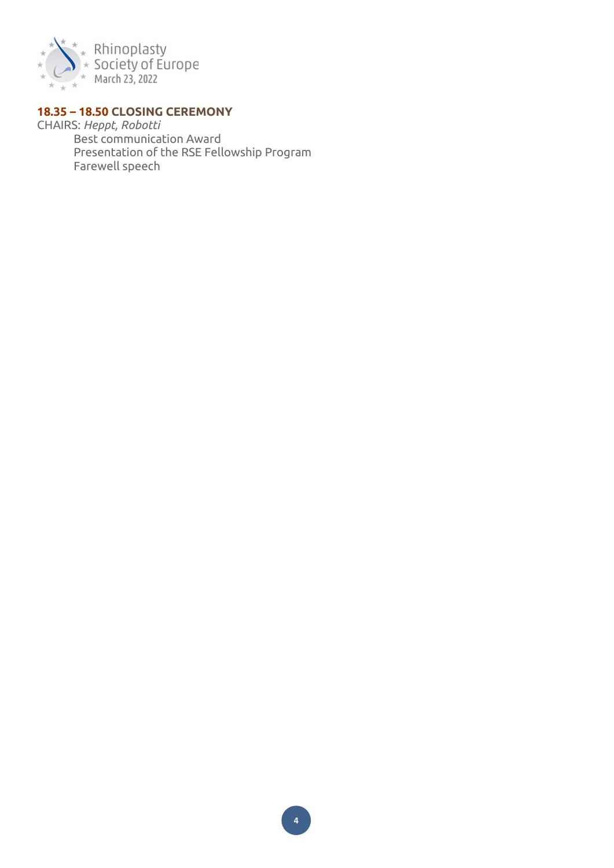

# **18.35 – 18.50 CLOSING CEREMONY**

CHAIRS: *Heppt, Robotti* Best communication Award Presentation of the RSE Fellowship Program Farewell speech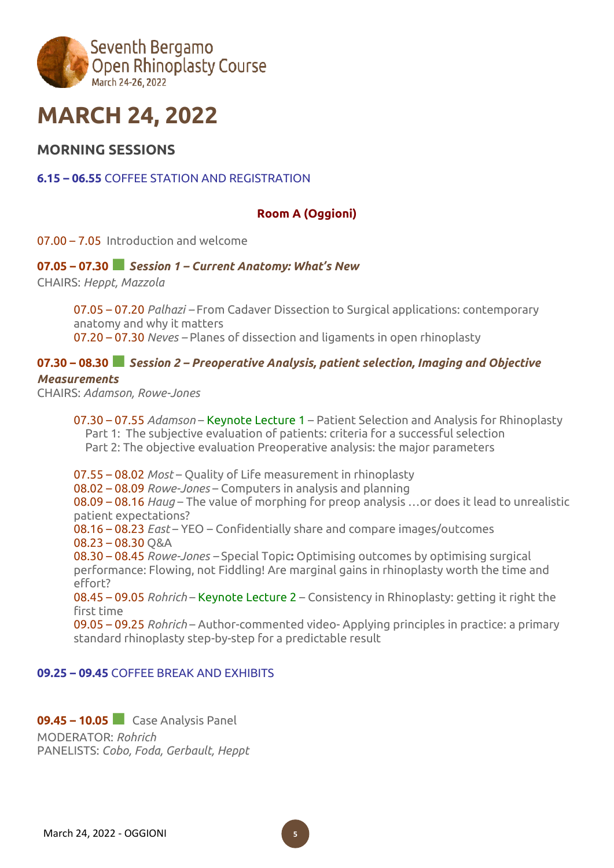

# **MARCH 24, 2022**

# **MORNING SESSIONS**

## **6.15 – 06.55** COFFEE STATION AND REGISTRATION

#### **Room A (Oggioni)**

07.00 – 7.05 Introduction and welcome

#### **07.05 – 07.30■***Session <sup>1</sup> – Current Anatomy: What's New*

CHAIRS: *Heppt, Mazzola*

07.05 – 07.20 *Palhazi –* From Cadaver Dissection to Surgical applications: contemporary anatomy and why it matters 07.20 – 07.30 *Neves –* Planes of dissection and ligaments in open rhinoplasty

#### **07.30 – 08.30■***Session <sup>2</sup> – Preoperative Analysis, patient selection, Imaging and Objective*

#### *Measurements*

CHAIRS: *Adamson, Rowe-Jones*

07.30 – 07.55 *Adamson* – Keynote Lecture 1 – Patient Selection and Analysis for Rhinoplasty Part 1: The subjective evaluation of patients: criteria for a successful selection Part 2: The objective evaluation Preoperative analysis: the major parameters

07.55 – 08.02 *Most* – Quality of Life measurement in rhinoplasty 08.02 – 08.09 *Rowe-Jones* – Computers in analysis and planning 08.09 – 08.16 *Haug* – The value of morphing for preop analysis …or does it lead to unrealistic patient expectations? 08.16 – 08.23 *East* – YEO – Confidentially share and compare images/outcomes 08.23 – 08.30 Q&A 08.30 – 08.45 *Rowe-Jones –* Special Topic**:** Optimising outcomes by optimising surgical performance: Flowing, not Fiddling! Are marginal gains in rhinoplasty worth the time and effort? 08.45 – 09.05 *Rohrich* – Keynote Lecture 2 – Consistency in Rhinoplasty: getting it right the

first time 09.05 – 09.25 *Rohrich* – Author-commented video- Applying principles in practice: a primary standard rhinoplasty step-by-step for a predictable result

#### **09.25 – 09.45** COFFEE BREAK AND EXHIBITS

**09.45 – 10.05■** Case Analysis Panel

MODERATOR: *Rohrich* PANELISTS: *Cobo, Foda, Gerbault, Heppt*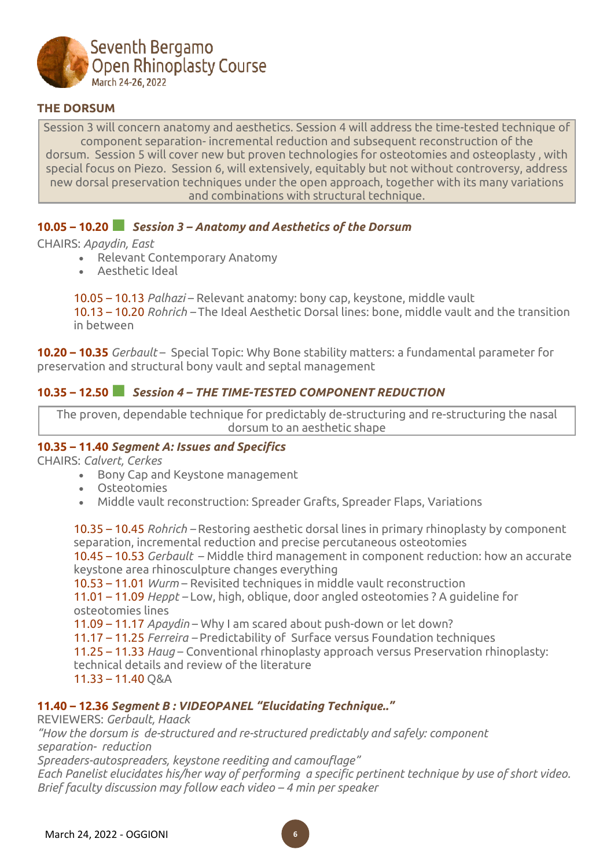

## **THE DORSUM**

Session 3 will concern anatomy and aesthetics. Session 4 will address the time-tested technique of component separation- incremental reduction and subsequent reconstruction of the dorsum. Session 5 will cover new but proven technologies for osteotomies and osteoplasty , with special focus on Piezo. Session 6, will extensively, equitably but not without controversy, address new dorsal preservation techniques under the open approach, together with its many variations and combinations with structural technique.

## **10.05 – 10.20■** *Session <sup>3</sup> – Anatomy and Aesthetics of the Dorsum*

#### CHAIRS: *Apaydin, East*

- Relevant Contemporary Anatomy
- Aesthetic Ideal

10.05 – 10.13 *Palhazi* – Relevant anatomy: bony cap, keystone, middle vault 10.13 – 10.20 *Rohrich –* The Ideal Aesthetic Dorsal lines: bone, middle vault and the transition in between

**10.20 – 10.35** *Gerbault* – Special Topic: Why Bone stability matters: a fundamental parameter for preservation and structural bony vault and septal management

## **10.35 – 12.50■** *Session <sup>4</sup> – THE TIME-TESTED COMPONENT REDUCTION*

The proven, dependable technique for predictably de-structuring and re-structuring the nasal dorsum to an aesthetic shape

## **10.35 – 11.40** *Segment A: Issues and Specifics*

CHAIRS: *Calvert, Cerkes*

- Bony Cap and Keystone management
- Osteotomies
- Middle vault reconstruction: Spreader Grafts, Spreader Flaps, Variations

10.35 – 10.45 *Rohrich –* Restoring aesthetic dorsal lines in primary rhinoplasty by component separation, incremental reduction and precise percutaneous osteotomies

10.45 – 10.53 *Gerbault* – Middle third management in component reduction: how an accurate keystone area rhinosculpture changes everything

10.53 – 11.01 *Wurm* – Revisited techniques in middle vault reconstruction

11.01 – 11.09 *Heppt –* Low, high, oblique, door angled osteotomies ? A guideline for osteotomies lines

11.09 – 11.17 *Apaydin* – Why I am scared about push-down or let down?

11.17 – 11.25 *Ferreira –* Predictability of Surface versus Foundation techniques

11.25 – 11.33 *Haug* – Conventional rhinoplasty approach versus Preservation rhinoplasty:

technical details and review of the literature

11.33 – 11.40 Q&A

# **11.40 – 12.36** *Segment B : VIDEOPANEL "Elucidating Technique.."*

REVIEWERS: *Gerbault, Haack*

*"How the dorsum is de-structured and re-structured predictably and safely: component separation- reduction*

*Spreaders-autospreaders, keystone reediting and camouflage"*

*Each Panelist elucidates his/her way of performing a specific pertinent technique by use of short video. Brief faculty discussion may follow each video – 4 min per speaker*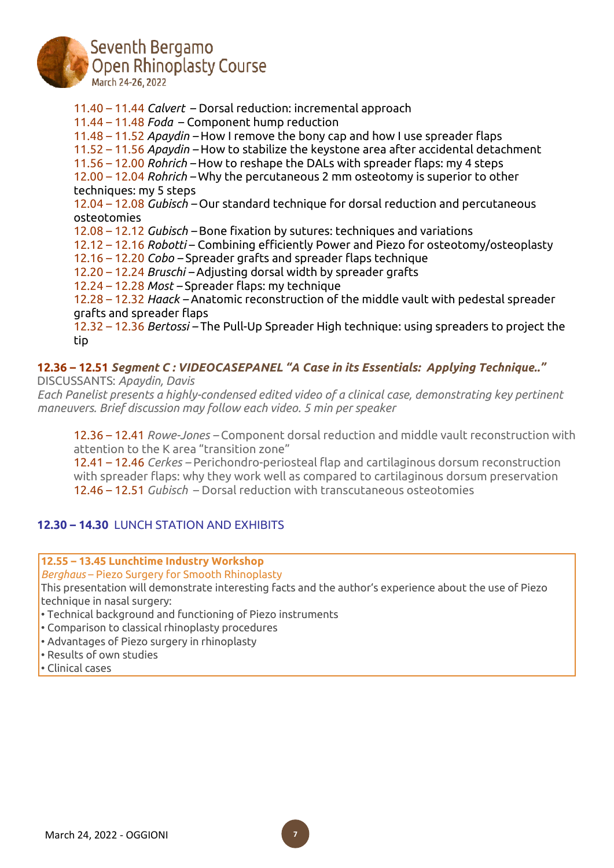

Seventh Bergamo **Open Rhinoplasty Course** March 24-26, 2022

11.40 – 11.44 *Calvert* – Dorsal reduction: incremental approach 11.44 – 11.48 *Foda* – Component hump reduction 11.48 – 11.52 *Apaydin –* How I remove the bony cap and how I use spreader flaps 11.52 – 11.56 *Apaydin –* How to stabilize the keystone area after accidental detachment 11.56 – 12.00 *Rohrich –* How to reshape the DALs with spreader flaps: my 4 steps 12.00 – 12.04 *Rohrich –* Why the percutaneous 2 mm osteotomy is superior to other techniques: my 5 steps 12.04 – 12.08 *Gubisch –* Our standard technique for dorsal reduction and percutaneous osteotomies 12.08 – 12.12 *Gubisch –* Bone fixation by sutures: techniques and variations 12.12 – 12.16 *Robotti* – Combining efficiently Power and Piezo for osteotomy/osteoplasty 12.16 – 12.20 *Cobo –* Spreader grafts and spreader flaps technique 12.20 – 12.24 *Bruschi –* Adjusting dorsal width by spreader grafts 12.24 – 12.28 *Most –* Spreader flaps: my technique 12.28 – 12.32 *Haack –* Anatomic reconstruction of the middle vault with pedestal spreader grafts and spreader flaps 12.32 – 12.36 *Bertossi –* The Pull-Up Spreader High technique: using spreaders to project the tip

#### **12.36 – 12.51** *Segment C : VIDEOCASEPANEL "A Case in its Essentials: Applying Technique.."* DISCUSSANTS: *Apaydin, Davis*

*Each Panelist presents a highly-condensed edited video of a clinical case, demonstrating key pertinent maneuvers. Brief discussion may follow each video. 5 min per speaker*

12.36 – 12.41 *Rowe-Jones –* Component dorsal reduction and middle vault reconstruction with attention to the K area "transition zone"

12.41 – 12.46 *Cerkes –* Perichondro-periosteal flap and cartilaginous dorsum reconstruction with spreader flaps: why they work well as compared to cartilaginous dorsum preservation 12.46 – 12.51 *Gubisch* – Dorsal reduction with transcutaneous osteotomies

# **12.30 – 14.30** LUNCH STATION AND EXHIBITS

**12.55 – 13.45 Lunchtime Industry Workshop**

*Berghaus* – Piezo Surgery for Smooth Rhinoplasty

This presentation will demonstrate interesting facts and the author's experience about the use of Piezo technique in nasal surgery:

• Technical background and functioning of Piezo instruments

- Comparison to classical rhinoplasty procedures
- Advantages of Piezo surgery in rhinoplasty
- Results of own studies
- Clinical cases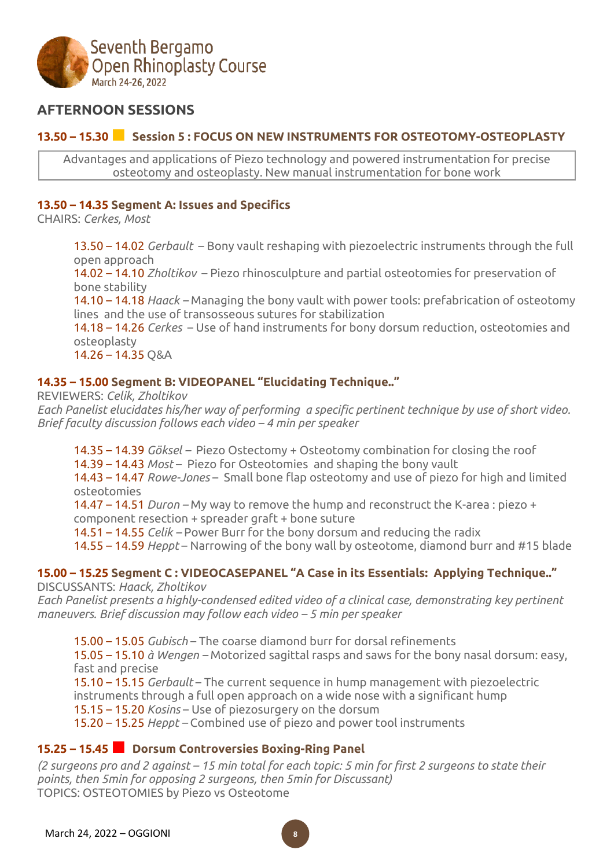

# **AFTERNOON SESSIONS**

# **13.50 – 15.30■ Session <sup>5</sup> : FOCUS ON NEW INSTRUMENTS FOR OSTEOTOMY-OSTEOPLASTY**

Advantages and applications of Piezo technology and powered instrumentation for precise osteotomy and osteoplasty. New manual instrumentation for bone work

## **13.50 – 14.35 Segment A: Issues and Specifics**

CHAIRS: *Cerkes, Most*

13.50 – 14.02 *Gerbault* – Bony vault reshaping with piezoelectric instruments through the full open approach

14.02 – 14.10 *Zholtikov* – Piezo rhinosculpture and partial osteotomies for preservation of bone stability

14.10 – 14.18 *Haack –* Managing the bony vault with power tools: prefabrication of osteotomy lines and the use of transosseous sutures for stabilization

14.18 – 14.26 *Cerkes* – Use of hand instruments for bony dorsum reduction, osteotomies and osteoplasty

14.26 – 14.35 Q&A

# **14.35 – 15.00 Segment B: VIDEOPANEL "Elucidating Technique.."**

REVIEWERS: *Celik, Zholtikov Each Panelist elucidates his/her way of performing a specific pertinent technique by use of short video. Brief faculty discussion follows each video – 4 min per speaker*

14.35 – 14.39 *Göksel –* Piezo Ostectomy + Osteotomy combination for closing the roof

14.39 – 14.43 *Most* – Piezo for Osteotomies and shaping the bony vault

14.43 – 14.47 *Rowe-Jones* – Small bone flap osteotomy and use of piezo for high and limited osteotomies

14.47 – 14.51 *Duron –* My way to remove the hump and reconstruct the K-area : piezo +

component resection + spreader graft + bone suture

14.51 – 14.55 *Celik –* Power Burr for the bony dorsum and reducing the radix

14.55 – 14.59 *Heppt* – Narrowing of the bony wall by osteotome, diamond burr and #15 blade

#### **15.00 – 15.25 Segment C : VIDEOCASEPANEL "A Case in its Essentials: Applying Technique.."** DISCUSSANTS: *Haack, Zholtikov*

*Each Panelist presents a highly-condensed edited video of a clinical case, demonstrating key pertinent maneuvers. Brief discussion may follow each video – 5 min per speaker*

15.00 – 15.05 *Gubisch* – The coarse diamond burr for dorsal refinements 15.05 – 15.10 *à Wengen –* Motorized sagittal rasps and saws for the bony nasal dorsum: easy, fast and precise

15.10 – 15.15 *Gerbault* – The current sequence in hump management with piezoelectric instruments through a full open approach on a wide nose with a significant hump 15.15 – 15.20 *Kosins* – Use of piezosurgery on the dorsum

15.20 – 15.25 *Heppt –* Combined use of piezo and power tool instruments

# **15.25 – 15.45■ Dorsum Controversies Boxing-Ring Panel**

(2 surgeons pro and 2 against – 15 min total for each topic: 5 min for first 2 surgeons to state their *points, then 5min for opposing 2 surgeons, then 5min for Discussant)* TOPICS: OSTEOTOMIES by Piezo vs Osteotome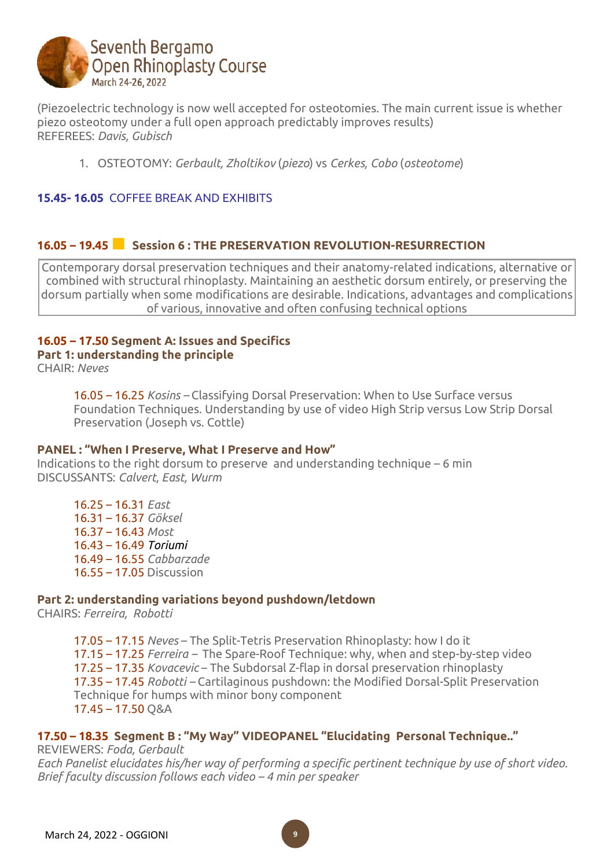

(Piezoelectric technology is now well accepted for osteotomies. The main current issue is whether piezo osteotomy under a full open approach predictably improves results) REFEREES: *Davis, Gubisch*

1. OSTEOTOMY: *Gerbault, Zholtikov* (*piezo*) vs *Cerkes, Cobo* (*osteotome*)

## **15.45- 16.05** COFFEE BREAK AND EXHIBITS

## **16.05 – 19.45■ Session <sup>6</sup> : THE PRESERVATION REVOLUTION-RESURRECTION**

Contemporary dorsal preservation techniques and their anatomy-related indications, alternative or combined with structural rhinoplasty. Maintaining an aesthetic dorsum entirely, or preserving the dorsum partially when some modifications are desirable. Indications, advantages and complications of various, innovative and often confusing technical options

# **16.05 – 17.50 Segment A: Issues and Specifics Part 1: understanding the principle**

CHAIR: *Neves*

16.05 – 16.25 *Kosins –* Classifying Dorsal Preservation: When to Use Surface versus Foundation Techniques. Understanding by use of video High Strip versus Low Strip Dorsal Preservation (Joseph vs. Cottle)

#### **PANEL : "When I Preserve, What I Preserve and How"**

Indications to the right dorsum to preserve and understanding technique  $-6$  min DISCUSSANTS: *Calvert, East, Wurm*

16.25 – 16.31 *East* 16.31 – 16.37 *Göksel* 16.37 – 16.43 *Most* 16.43 – 16.49 *Toriumi* 16.49 – 16.55 *Cabbarzade* 16.55 – 17.05 Discussion

#### **Part 2: understanding variations beyond pushdown/letdown**

CHAIRS: *Ferreira, Robotti*

17.05 – 17.15 *Neves* – The Split-Tetris Preservation Rhinoplasty: how I do it 17.15 – 17.25 *Ferreira –* The Spare-Roof Technique: why, when and step-by-step video 17.25 – 17.35 *Kovacevic* – The Subdorsal Z-flap in dorsal preservation rhinoplasty 17.35 – 17.45 *Robotti –* Cartilaginous pushdown: the Modified Dorsal-Split Preservation Technique for humps with minor bony component  $17.45 - 17.50$  O&A

## **17.50 – 18.35 Segment B : "My Way" VIDEOPANEL "Elucidating Personal Technique.."**

REVIEWERS: *Foda, Gerbault Each Panelist elucidates his/her way of performing a specific pertinent technique by use of short video. Brief faculty discussion follows each video – 4 min per speaker*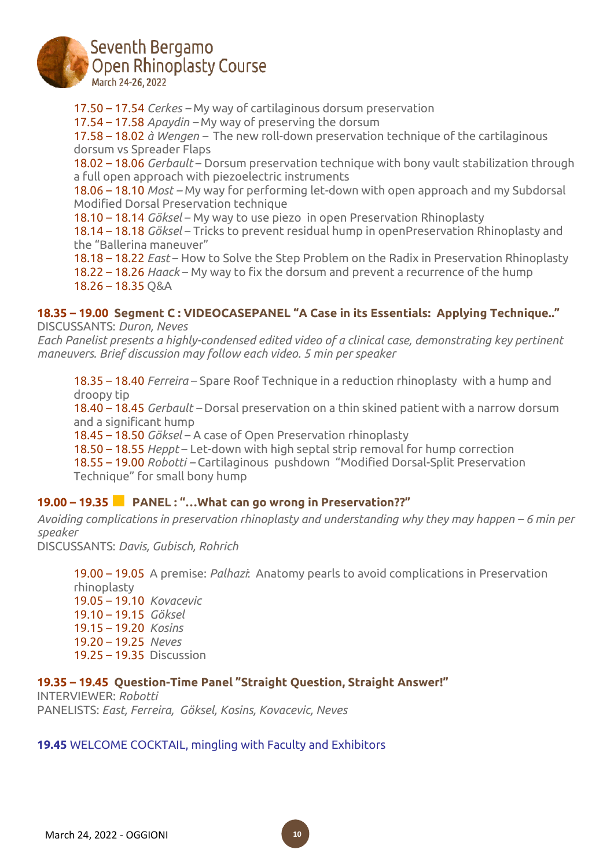

# Seventh Bergamo **Open Rhinoplasty Course** March 24-26, 2022

17.50 – 17.54 *Cerkes –* My way of cartilaginous dorsum preservation 17.54 – 17.58 *Apaydin –* My way of preserving the dorsum 17.58 – 18.02 *à Wengen –* The new roll-down preservation technique of the cartilaginous dorsum vs Spreader Flaps 18.02 – 18.06 *Gerbault* – Dorsum preservation technique with bony vault stabilization through a full open approach with piezoelectric instruments 18.06 – 18.10 *Most –* My way for performing let-down with open approach and my Subdorsal Modified Dorsal Preservation technique 18.10 – 18.14 *Göksel* – My way to use piezo in open Preservation Rhinoplasty 18.14 – 18.18 *Göksel* – Tricks to prevent residual hump in openPreservation Rhinoplasty and the "Ballerina maneuver" 18.18 – 18.22 *East* – How to Solve the Step Problem on the Radix in Preservation Rhinoplasty 18.22 – 18.26 *Haack* – My way to fix the dorsum and prevent a recurrence of the hump 18.26 – 18.35 Q&A

#### **18.35 – 19.00 Segment C : VIDEOCASEPANEL "A Case in its Essentials: Applying Technique.."**

DISCUSSANTS: *Duron, Neves*

*Each Panelist presents a highly-condensed edited video of a clinical case, demonstrating key pertinent maneuvers. Brief discussion may follow each video. 5 min per speaker*

18.35 – 18.40 *Ferreira* – Spare Roof Technique in a reduction rhinoplasty with a hump and droopy tip

18.40 – 18.45 *Gerbault –* Dorsal preservation on a thin skined patient with a narrow dorsum and a significant hump

18.45 – 18.50 *Göksel* – A case of Open Preservation rhinoplasty

18.50 – 18.55 *Heppt* – Let-down with high septal strip removal for hump correction

18.55 – 19.00 *Robotti –* Cartilaginous pushdown "Modified Dorsal-Split Preservation Technique" for small bony hump

## **19.00 – 19.35■ PANEL : "…What can go wrong in Preservation??"**

*Avoiding complications in preservation rhinoplasty and understanding why they may happen – 6 min per speaker*

DISCUSSANTS: *Davis, Gubisch, Rohrich*

19.00 – 19.05 A premise: *Palhazi*: Anatomy pearls to avoid complications in Preservation rhinoplasty 19.05 – 19.10 *Kovacevic* 19.10 – 19.15 *Göksel* 19.15 – 19.20 *Kosins* 19.20 – 19.25 *Neves* 19.25 – 19.35 Discussion

#### **19.35 – 19.45 Question-Time Panel "Straight Question, Straight Answer!"**

INTERVIEWER: *Robotti* PANELISTS: *East, Ferreira, Göksel, Kosins, Kovacevic, Neves*

## **19.45** WELCOME COCKTAIL, mingling with Faculty and Exhibitors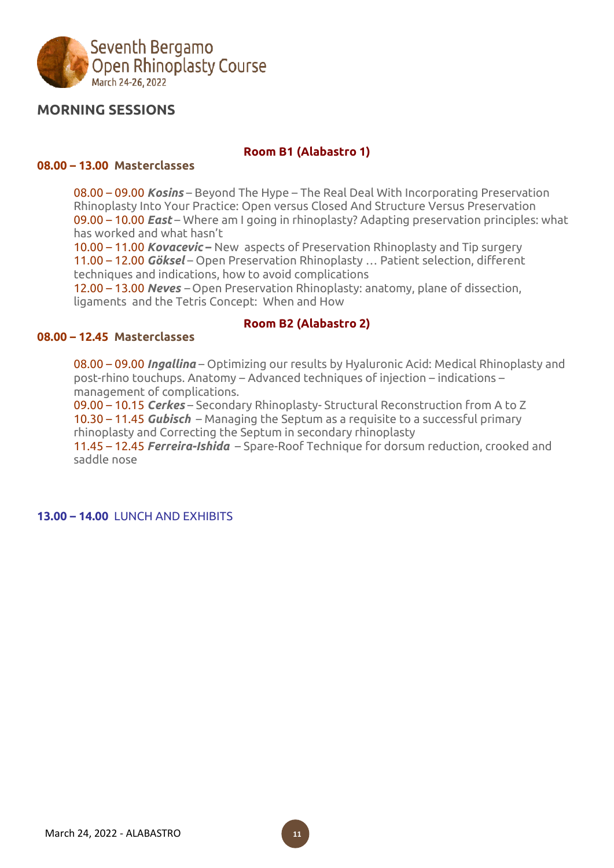

# **MORNING SESSIONS**

#### **Room B1 (Alabastro 1)**

#### **08.00 – 13.00 Masterclasses**

08.00 – 09.00 *Kosins* – Beyond The Hype – The Real Deal With Incorporating Preservation Rhinoplasty Into Your Practice: Open versus Closed And Structure Versus Preservation 09.00 – 10.00 *East* – Where am I going in rhinoplasty? Adapting preservation principles: what has worked and what hasn't

10.00 – 11.00 *Kovacevic* **–** New aspects of Preservation Rhinoplasty and Tip surgery 11.00 – 12.00 *Göksel* – Open Preservation Rhinoplasty … Patient selection, different techniques and indications, how to avoid complications

12.00 – 13.00 *Neves –* Open Preservation Rhinoplasty: anatomy, plane of dissection, ligaments and the Tetris Concept: When and How

#### **Room B2 (Alabastro 2)**

#### **08.00 – 12.45 Masterclasses**

08.00 – 09.00 *Ingallina* – Optimizing our results by Hyaluronic Acid: Medical Rhinoplasty and post-rhino touchups. Anatomy – Advanced techniques of injection – indications – management of complications.

09.00 – 10.15 *Cerkes* – Secondary Rhinoplasty- Structural Reconstruction from A to Z 10.30 – 11.45 *Gubisch* – Managing the Septum as a requisite to a successful primary rhinoplasty and Correcting the Septum in secondary rhinoplasty

11.45 – 12.45 *Ferreira-Ishida* – Spare-Roof Technique for dorsum reduction, crooked and saddle nose

**13.00 – 14.00** LUNCH AND EXHIBITS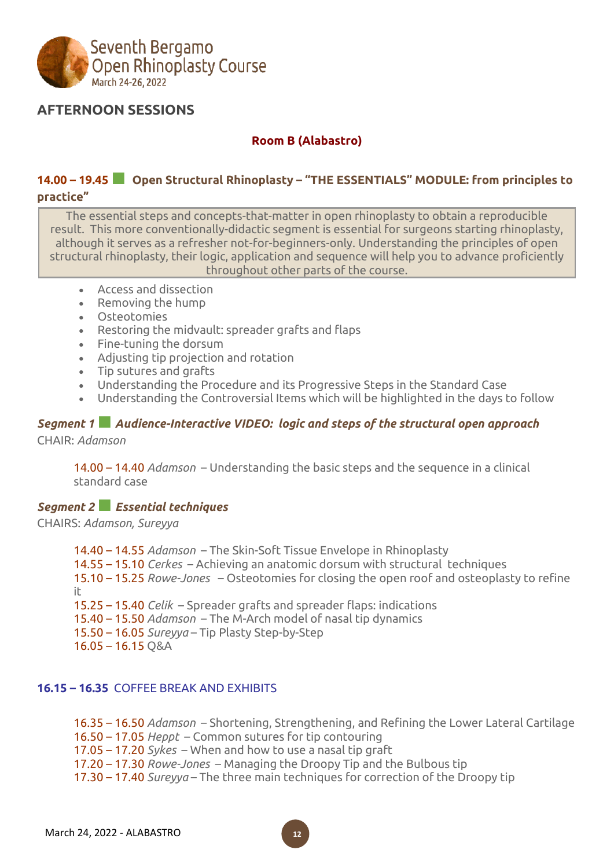

# **AFTERNOON SESSIONS**

## **Room B (Alabastro)**

## **14.00 – 19.45■ Open Structural Rhinoplasty – "THE ESSENTIALS" MODULE: from principles to practice"**

The essential steps and concepts-that-matter in open rhinoplasty to obtain a reproducible result. This more conventionally-didactic segment is essential for surgeons starting rhinoplasty, although it serves as a refresher not-for-beginners-only. Understanding the principles of open structural rhinoplasty, their logic, application and sequence will help you to advance proficiently throughout other parts of the course.

- Access and dissection
- Removing the hump
- Osteotomies
- Restoring the midvault: spreader grafts and flaps
- Fine-tuning the dorsum
- Adjusting tip projection and rotation
- Tip sutures and grafts
- Understanding the Procedure and its Progressive Steps in the Standard Case
- Understanding the Controversial Items which will be highlighted in the days to follow

## *Segment <sup>1</sup>■ Audience-Interactive VIDEO: logic and steps of the structural open approach* CHAIR: *Adamson*

14.00 – 14.40 *Adamson* – Understanding the basic steps and the sequence in a clinical standard case

## *Segment <sup>2</sup>■Essential techniques*

CHAIRS: *Adamson, Sureyya*

14.40 – 14.55 *Adamson* – The Skin-Soft Tissue Envelope in Rhinoplasty 14.55 – 15.10 *Cerkes* – Achieving an anatomic dorsum with structural techniques 15.10 – 15.25 *Rowe-Jones* – Osteotomies for closing the open roof and osteoplasty to refine it 15.25 – 15.40 *Celik* – Spreader grafts and spreader flaps: indications 15.40 – 15.50 *Adamson* – The M-Arch model of nasal tip dynamics 15.50 – 16.05 *Sureyya* – Tip Plasty Step-by-Step 16.05 – 16.15 Q&A

## **16.15 – 16.35** COFFEE BREAK AND EXHIBITS

16.35 – 16.50 *Adamson* – Shortening, Strengthening, and Refining the Lower Lateral Cartilage

16.50 – 17.05 *Heppt* – Common sutures for tip contouring

- 17.05 17.20 *Sykes* When and how to use a nasal tip graft
- 17.20 17.30 *Rowe-Jones* Managing the Droopy Tip and the Bulbous tip
- 17.30 17.40 *Sureyya* The three main techniques for correction of the Droopy tip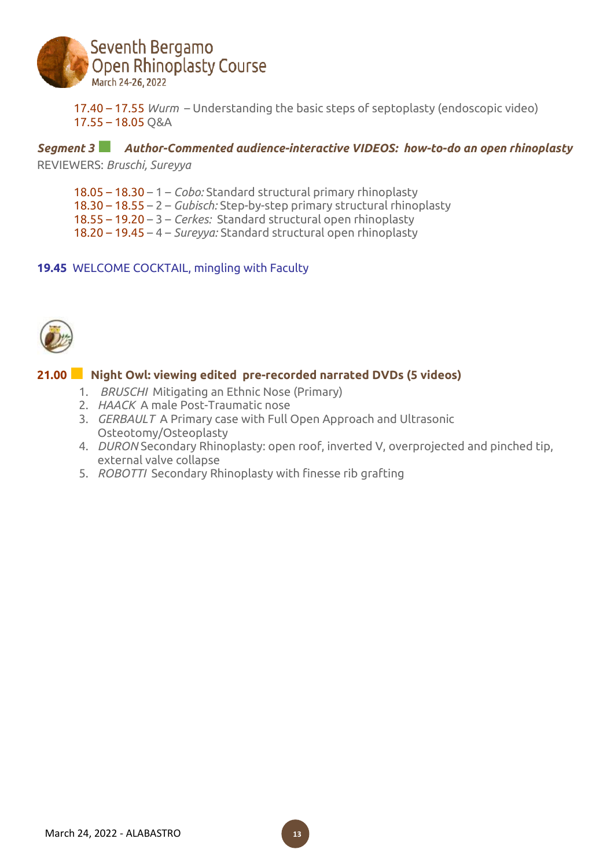

17.40 – 17.55 *Wurm* – Understanding the basic steps of septoplasty (endoscopic video) 17.55 – 18.05 Q&A

## *Segment <sup>3</sup>■ Author-Commented audience-interactive VIDEOS: how-to-do an open rhinoplasty*

REVIEWERS: *Bruschi, Sureyya*

- 18.05 18.30 1 *Cobo:* Standard structural primary rhinoplasty
- 18.30 18.55 2 *Gubisch:* Step-by-step primary structural rhinoplasty
- 18.55 19.20 3 *Cerkes:* Standard structural open rhinoplasty
- 18.20 19.45 4 *Sureyya:* Standard structural open rhinoplasty

## **19.45** WELCOME COCKTAIL, mingling with Faculty



# **21.00■ Night Owl: viewing edited pre-recorded narrated DVDs (5 videos)**

- 1. *BRUSCHI* Mitigating an Ethnic Nose (Primary)
- 2. *HAACK* A male Post-Traumatic nose
- 3. *GERBAULT* A Primary case with Full Open Approach and Ultrasonic Osteotomy/Osteoplasty
- 4. *DURON* Secondary Rhinoplasty: open roof, inverted V, overprojected and pinched tip, external valve collapse
- 5. *ROBOTTI* Secondary Rhinoplasty with finesse rib grafting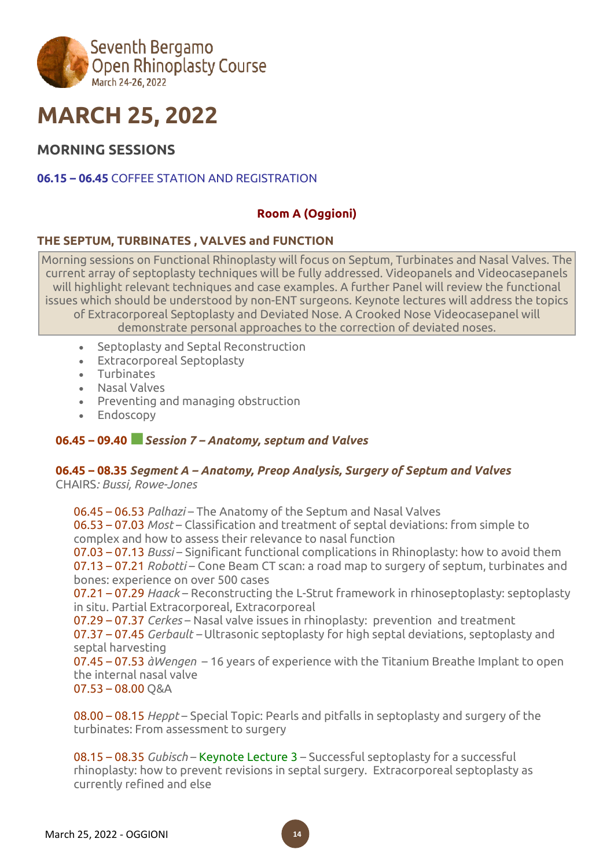

# **MARCH 25, 2022**

# **MORNING SESSIONS**

## **06.15 – 06.45** COFFEE STATION AND REGISTRATION

## **Room A (Oggioni)**

## **THE SEPTUM, TURBINATES , VALVES and FUNCTION**

Morning sessions on Functional Rhinoplasty will focus on Septum, Turbinates and Nasal Valves. The current array of septoplasty techniques will be fully addressed. Videopanels and Videocasepanels will highlight relevant techniques and case examples. A further Panel will review the functional issues which should be understood by non-ENT surgeons. Keynote lectures will address the topics of Extracorporeal Septoplasty and Deviated Nose. A Crooked Nose Videocasepanel will demonstrate personal approaches to the correction of deviated noses.

- Septoplasty and Septal Reconstruction
- Extracorporeal Septoplasty
- Turbinates
- Nasal Valves
- Preventing and managing obstruction
- Endoscopy

## **06.45 – 09.40■***Session <sup>7</sup> – Anatomy, septum and Valves*

## **06.45 – 08.35** *Segment A – Anatomy, Preop Analysis, Surgery of Septum and Valves*

CHAIRS*: Bussi, Rowe-Jones*

06.45 – 06.53 *Palhazi* – The Anatomy of the Septum and Nasal Valves 06.53 – 07.03 *Most* – Classification and treatment of septal deviations: from simple to complex and how to assess their relevance to nasal function 07.03 – 07.13 *Bussi* – Significant functional complications in Rhinoplasty: how to avoid them 07.13 – 07.21 *Robotti* – Cone Beam CT scan: a road map to surgery of septum, turbinates and bones: experience on over 500 cases 07.21 – 07.29 *Haack* – Reconstructing the L-Strut framework in rhinoseptoplasty: septoplasty in situ. Partial Extracorporeal, Extracorporeal 07.29 – 07.37 *Cerkes* – Nasal valve issues in rhinoplasty: prevention and treatment 07.37 – 07.45 *Gerbault –* Ultrasonic septoplasty for high septal deviations, septoplasty and septal harvesting 07.45 – 07.53 *àWengen* – 16 years of experience with the Titanium Breathe Implant to open the internal nasal valve 07.53 – 08.00 Q&A

08.00 – 08.15 *Heppt* – Special Topic: Pearls and pitfalls in septoplasty and surgery of the turbinates: From assessment to surgery

08.15 – 08.35 *Gubisch* – Keynote Lecture 3 – Successful septoplasty for a successful rhinoplasty: how to prevent revisions in septal surgery. Extracorporeal septoplasty as currently refined and else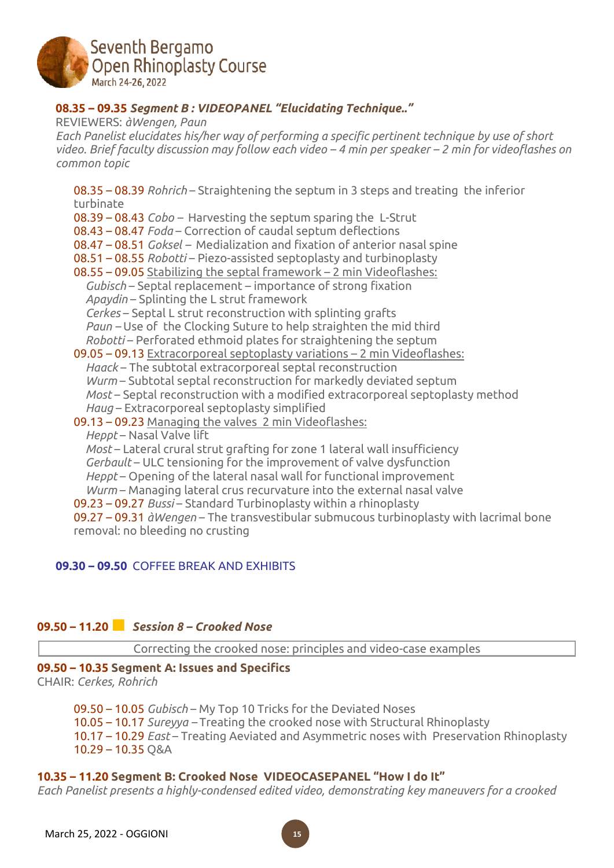

## **08.35 – 09.35** *Segment B : VIDEOPANEL "Elucidating Technique.."*

REVIEWERS: *àWengen, Paun Each Panelist elucidates his/her way of performing a specific pertinent technique by use of short* video. Brief faculty discussion may follow each video – 4 min per speaker – 2 min for videoflashes on *common topic*

08.35 – 08.39 *Rohrich* – Straightening the septum in 3 steps and treating the inferior turbinate 08.39 – 08.43 *Cobo –* Harvesting the septum sparing the L-Strut 08.43 – 08.47 *Foda* – Correction of caudal septum deflections 08.47 – 08.51 *Goksel –* Medialization and fixation of anterior nasal spine 08.51 – 08.55 *Robotti* – Piezo-assisted septoplasty and turbinoplasty 08.55 – 09.05 Stabilizing the septal framework – 2 min Videoflashes: *\_\_Gubisch* – Septal replacement – importance of strong fixation *\_\_Apaydin* – Splinting the L strut framework *\_\_Cerkes* – Septal L strut reconstruction with splinting grafts *Paun* – Use of the Clocking Suture to help straighten the mid third *\_\_Robotti* – Perforated ethmoid plates for straightening the septum 09.05 – 09.13 Extracorporeal septoplasty variations – 2 min Videoflashes: *\_\_Haack* – The subtotal extracorporeal septal reconstruction *Wurm* – Subtotal septal reconstruction for markedly deviated septum *Most* – Septal reconstruction with a modified extracorporeal septoplasty method Haug – Extracorporeal septoplasty simplified 09.13 – 09.23 Managing the valves 2 min Videoflashes: *\_\_Heppt* – Nasal Valve lift *Most* – Lateral crural strut grafting for zone 1 lateral wall insufficiency *\_\_Gerbault* – ULC tensioning for the improvement of valve dysfunction *\_\_Heppt* – Opening of the lateral nasal wall for functional improvement *Wurm* – Managing lateral crus recurvature into the external nasal valve 09.23 – 09.27 *Bussi* – Standard Turbinoplasty within a rhinoplasty 09.27 – 09.31 *àWengen* – The transvestibular submucous turbinoplasty with lacrimal bone removal: no bleeding no crusting

## **09.30 – 09.50** COFFEE BREAK AND EXHIBITS

## **09.50 – 11.20■** *Session <sup>8</sup> – Crooked Nose*

Correcting the crooked nose: principles and video-case examples

## **09.50 – 10.35 Segment A: Issues and Specifics**

CHAIR: *Cerkes, Rohrich*

09.50 – 10.05 *Gubisch* – My Top 10 Tricks for the Deviated Noses 10.05 – 10.17 *Sureyya –* Treating the crooked nose with Structural Rhinoplasty 10.17 – 10.29 *East* – Treating Aeviated and Asymmetric noses with Preservation Rhinoplasty 10.29 – 10.35 Q&A

## **10.35 – 11.20 Segment B: Crooked Nose VIDEOCASEPANEL "How I do It"**

*Each Panelist presents a highly-condensed edited video, demonstrating key maneuvers for a crooked*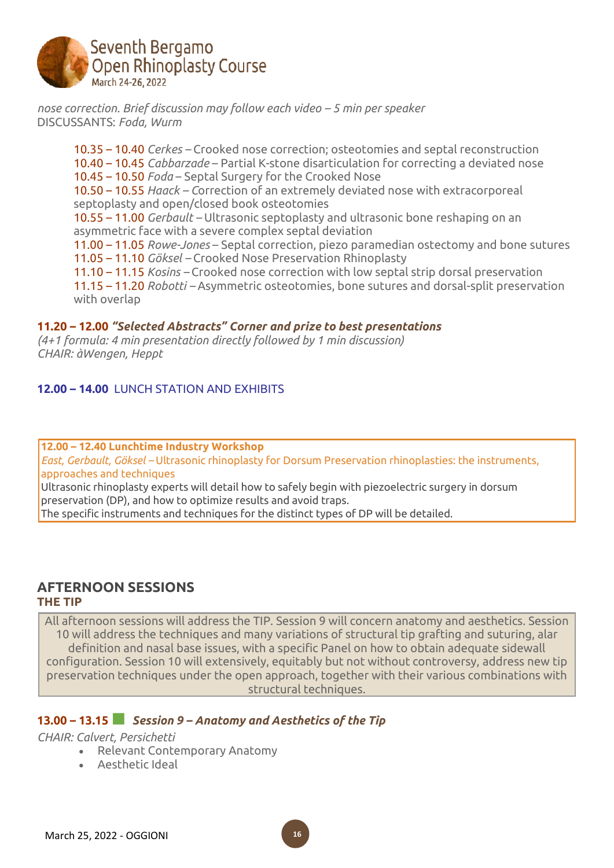

*nose correction. Brief discussion may follow each video – 5 min per speaker* DISCUSSANTS: *Foda, Wurm*

10.35 – 10.40 *Cerkes –* Crooked nose correction; osteotomies and septal reconstruction 10.40 – 10.45 *Cabbarzade* – Partial K-stone disarticulation for correcting a deviated nose 10.45 – 10.50 *Foda* – Septal Surgery for the Crooked Nose 10.50 – 10.55 *Haack – C*orrection of an extremely deviated nose with extracorporeal septoplasty and open/closed book osteotomies 10.55 – 11.00 *Gerbault –* Ultrasonic septoplasty and ultrasonic bone reshaping on an asymmetric face with a severe complex septal deviation 11.00 – 11.05 *Rowe-Jones* – Septal correction, piezo paramedian ostectomy and bone sutures 11.05 – 11.10 *Göksel –* Crooked Nose Preservation Rhinoplasty 11.10 – 11.15 *Kosins –* Crooked nose correction with low septal strip dorsal preservation 11.15 – 11.20 *Robotti –* Asymmetric osteotomies, bone sutures and dorsal-split preservation with overlap

## **11.20 – 12.00** *"Selected Abstracts" Corner and prize to best presentations*

*(4+1 formula: 4 min presentation directly followed by 1 min discussion) CHAIR: àWengen, Heppt*

#### **12.00 – 14.00** LUNCH STATION AND EXHIBITS

**12.00 – 12.40 Lunchtime Industry Workshop**

*East, Gerbault, Göksel –* Ultrasonic rhinoplasty for Dorsum Preservation rhinoplasties: the instruments, approaches and techniques

Ultrasonic rhinoplasty experts will detail how to safely begin with piezoelectric surgery in dorsum preservation (DP), and how to optimize results and avoid traps.

The specific instruments and techniques for the distinct types of DP will be detailed.

## **AFTERNOON SESSIONS THE TIP**

All afternoon sessions will address the TIP. Session 9 will concern anatomy and aesthetics. Session 10 will address the techniques and many variations of structural tip grafting and suturing, alar definition and nasal base issues, with a specific Panel on how to obtain adequate sidewall configuration. Session 10 will extensively, equitably but not without controversy, address new tip preservation techniques under the open approach, together with their various combinations with structural techniques.

# **13.00 – 13.15■** *Session <sup>9</sup> – Anatomy and Aesthetics of the Tip*

*CHAIR: Calvert, Persichetti*

- Relevant Contemporary Anatomy
- Aesthetic Ideal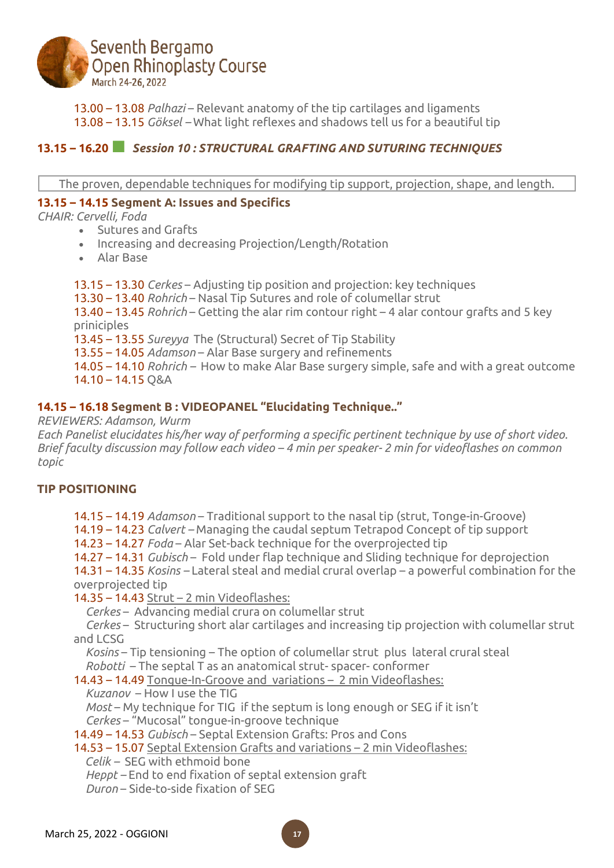

13.00 – 13.08 *Palhazi* – Relevant anatomy of the tip cartilages and ligaments

13.08 – 13.15 *Göksel –* What light reflexes and shadows tell us for a beautiful tip

# **13.15 – 16.20■** *Session <sup>10</sup> : STRUCTURAL GRAFTING AND SUTURING TECHNIQUES*

The proven, dependable techniques for modifying tip support, projection, shape, and length.

#### **13.15 – 14.15 Segment A: Issues and Specifics**

*CHAIR: Cervelli, Foda*

- Sutures and Grafts
- Increasing and decreasing Projection/Length/Rotation
- Alar Base

13.15 – 13.30 *Cerkes* – Adjusting tip position and projection: key techniques 13.30 – 13.40 *Rohrich* – Nasal Tip Sutures and role of columellar strut

13.40 – 13.45 *Rohrich* – Getting the alar rim contour right – 4 alar contour grafts and 5 key priniciples

13.45 – 13.55 *Sureyya* The (Structural) Secret of Tip Stability

13.55 – 14.05 *Adamson* – Alar Base surgery and refinements

14.05 – 14.10 *Rohrich –* How to make Alar Base surgery simple, safe and with a great outcome 14.10 – 14.15 Q&A

## **14.15 – 16.18 Segment B : VIDEOPANEL "Elucidating Technique.."**

*REVIEWERS: Adamson, Wurm*

*Each Panelist elucidates his/her way of performing a specific pertinent technique by use of short video.* Brief faculty discussion may follow each video – 4 min per speaker- 2 min for videoflashes on common *topic*

## **TIP POSITIONING**

14.15 – 14.19 *Adamson* – Traditional support to the nasal tip (strut, Tonge-in-Groove)

14.19 – 14.23 *Calvert –* Managing the caudal septum Tetrapod Concept of tip support

14.23 – 14.27 *Foda* – Alar Set-back technique for the overprojected tip

14.27 – 14.31 *Gubisch* – Fold under flap technique and Sliding technique for deprojection

14.31 – 14.35 *Kosins –* Lateral steal and medial crural overlap – a powerful combination for the overprojected tip

14.35 – 14.43 Strut – 2 min Videoflashes:

*\_\_Cerkes* – Advancing medial crura on columellar strut

*\_\_Cerkes* – Structuring short alar cartilages and increasing tip projection with columellar strut and LCSG

Kosins – Tip tensioning – The option of columellar strut plus lateral crural steal *\_\_Robotti* – The septal T as an anatomical strut- spacer- conformer

14.43 – 14.49 Tongue-In-Groove and variations – 2 min Videoflashes:

*\_\_Kuzanov* – How I use the TIG

*Most* – My technique for TIG if the septum is long enough or SEG if it isn't *\_\_Cerkes* – "Mucosal" tongue-in-groove technique

14.49 – 14.53 *Gubisch* – Septal Extension Grafts: Pros and Cons

14.53 – 15.07 Septal Extension Grafts and variations – 2 min Videoflashes:

*\_ Celik –* SEG with ethmoid bone

*\_\_Heppt –* End to end fixation of septal extension graft

*\_\_Duron* – Side-to-side fixation of SEG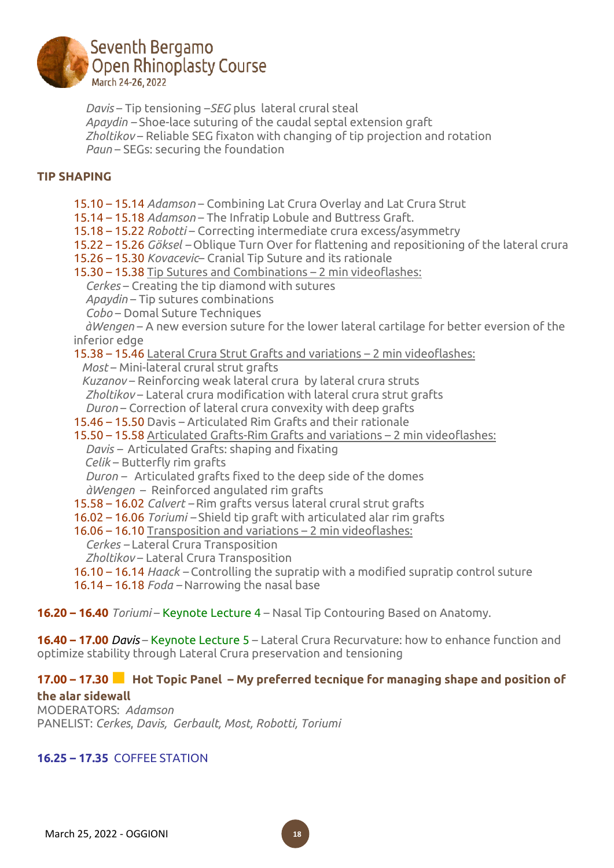

*\_\_Davis* – Tip tensioning –*SEG* plus lateral crural steal *\_\_Apaydin –* Shoe-lace suturing of the caudal septal extension graft *\_\_Zholtikov* – Reliable SEG fixaton with changing of tip projection and rotation *Paun* – SEGs: securing the foundation

## **TIP SHAPING**

15.10 – 15.14 *Adamson* – Combining Lat Crura Overlay and Lat Crura Strut

15.14 – 15.18 *Adamson* – The Infratip Lobule and Buttress Graft.

- 15.18 15.22 *Robotti* Correcting intermediate crura excess/asymmetry
- 15.22 15.26 *Göksel –* Oblique Turn Over for flattening and repositioning of the lateral crura
- 15.26 15.30 *Kovacevic* Cranial Tip Suture and its rationale
- 15.30 15.38 Tip Sutures and Combinations 2 min videoflashes:
	- *\_\_Cerkes* Creating the tip diamond with sutures
	- *\_\_Apaydin* Tip sutures combinations
	- *\_\_Cobo* Domal Suture Techniques

*\_ àWengen* – A new eversion suture for the lower lateral cartilage for better eversion of the inferior edge

15.38 – 15.46 Lateral Crura Strut Grafts and variations – 2 min videoflashes:

*Most* – Mini-lateral crural strut grafts

*Kuzanov* – Reinforcing weak lateral crura by lateral crura struts *\_\_Zholtikov* – Lateral crura modification with lateral crura strut grafts *\_\_Duron* – Correction of lateral crura convexity with deep grafts*\_*

15.46 – 15.50 Davis – Articulated Rim Grafts and their rationale

15.50 – 15.58 Articulated Grafts-Rim Grafts and variations – 2 min videoflashes:*\_*

*\_\_Davis –* Articulated Grafts: shaping and fixating

*Celik* – Butterfly rim grafts

*\_\_Duron –* Articulated grafts fixed to the deep side of the domes

*\_\_àWengen* – Reinforced angulated rim grafts

15.58 – 16.02 *Calvert –* Rim grafts versus lateral crural strut grafts

16.02 – 16.06 *Toriumi –* Shield tip graft with articulated alar rim grafts

16.06 – 16.10 Transposition and variations – 2 min videoflashes:

- *\_\_Cerkes –* Lateral Crura Transposition
- *\_\_Zholtikov* Lateral Crura Transposition
- 16.10 16.14 *Haack –* Controlling the supratip with a modified supratip control suture

16.14 – 16.18 *Foda –* Narrowing the nasal base

**16.20 – 16.40** *Toriumi* – Keynote Lecture 4 – Nasal Tip Contouring Based on Anatomy.

**16.40 – 17.00** *Davis* – Keynote Lecture 5 – Lateral Crura Recurvature: how to enhance function and optimize stability through Lateral Crura preservation and tensioning

# **17.00 – 17.30■ Hot Topic Panel – My preferred tecnique for managing shape and position of the alar sidewall**

MODERATORS: *Adamson* PANELIST: *Cerkes*, *Davis, Gerbault, Most, Robotti, Toriumi*

# **16.25 – 17.35** COFFEE STATION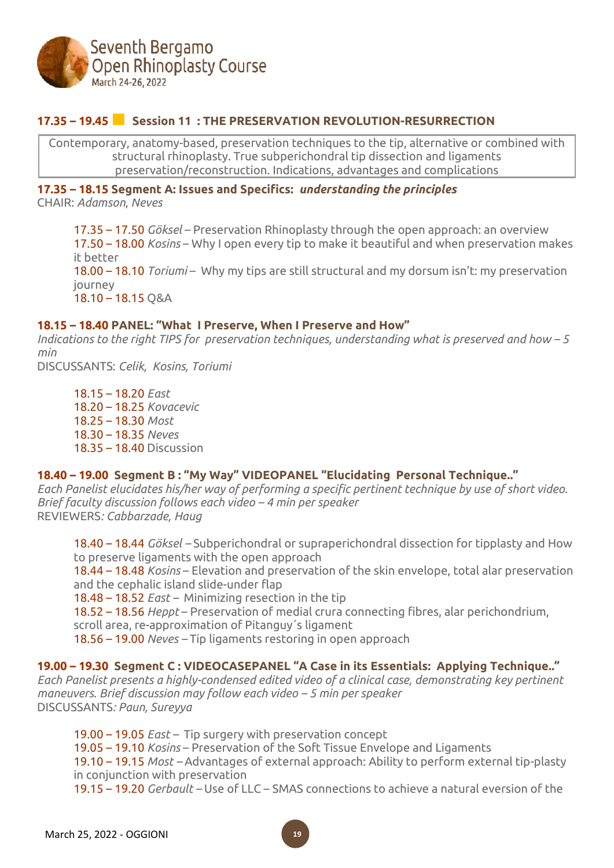

# **17.35 – 19.45■ Session <sup>11</sup> : THE PRESERVATION REVOLUTION-RESURRECTION**

Contemporary, anatomy-based, preservation techniques to the tip, alternative or combined with structural rhinoplasty. True subperichondral tip dissection and ligaments preservation/reconstruction. Indications, advantages and complications

#### **17.35 – 18.15 Segment A: Issues and Specifics:** *understanding the principles*

CHAIR: *Adamson*, *Neves*

17.35 – 17.50 *Göksel* – Preservation Rhinoplasty through the open approach: an overview 17.50 – 18.00 *Kosins* – Why I open every tip to make it beautiful and when preservation makes it better 18.00 – 18.10 *Toriumi* – Why my tips are still structural and my dorsum isn't: my preservation journey 18.10 – 18.15 Q&A

#### **18.15 – 18.40 PANEL: "What I Preserve, When I Preserve and How"**

*Indications to the right TIPS for preservation techniques, understanding what is preserved and how – 5 min*

DISCUSSANTS: *Celik, Kosins, Toriumi*

18.15 – 18.20 *East* 18.20 – 18.25 *Kovacevic* 18.25 – 18.30 *Most* 18.30 – 18.35 *Neves* 18.35 – 18.40 Discussion

## **18.40 – 19.00 Segment B : "My Way" VIDEOPANEL "Elucidating Personal Technique.."**

*Each Panelist elucidates his/her way of performing a specific pertinent technique by use of short video. Brief faculty discussion follows each video – 4 min per speaker* REVIEWERS*: Cabbarzade, Haug*

18.40 – 18.44 *Göksel –* Subperichondral or supraperichondral dissection for tipplasty and How to preserve ligaments with the open approach

18.44 – 18.48 *Kosins* – Elevation and preservation of the skin envelope, total alar preservation and the cephalic island slide-under flap

18.48 – 18.52 *East –* Minimizing resection in the tip

18.52 – 18.56 *Heppt* – Preservation of medial crura connecting fibres, alar perichondrium,

scroll area, re-approximation of Pitanguy´s ligament

18.56 – 19.00 *Neves –* Tip ligaments restoring in open approach

## **19.00 – 19.30 Segment C : VIDEOCASEPANEL "A Case in its Essentials: Applying Technique.."**

*Each Panelist presents a highly-condensed edited video of a clinical case, demonstrating key pertinent maneuvers. Brief discussion may follow each video – 5 min per speaker* DISCUSSANTS*: Paun, Sureyya*

19.00 – 19.05 *East –* Tip surgery with preservation concept

19.05 – 19.10 *Kosins* – Preservation of the Soft Tissue Envelope and Ligaments

19.10 – 19.15 *Most –* Advantages of external approach: Ability to perform external tip-plasty in conjunction with preservation

19.15 – 19.20 *Gerbault –* Use of LLC – SMAS connections to achieve a natural eversion of the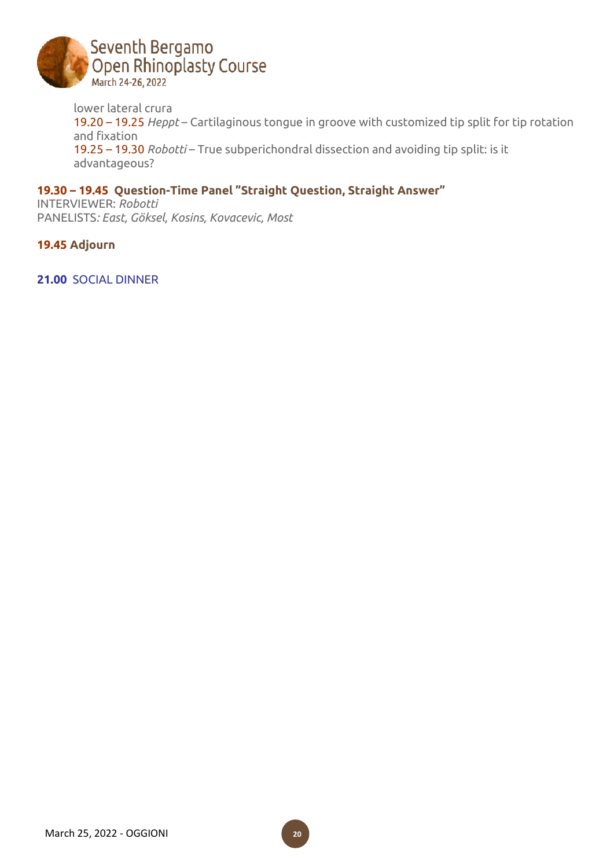

lower lateral crura 19.20 – 19.25 *Heppt* – Cartilaginous tongue in groove with customized tip split for tip rotation and fixation 19.25 – 19.30 *Robotti* – True subperichondral dissection and avoiding tip split: is it advantageous?

# **19.30 – 19.45 Question-Time Panel "Straight Question, Straight Answer"**

INTERVIEWER: *Robotti* PANELISTS*: East, Göksel, Kosins, Kovacevic, Most*

**19.45 Adjourn**

**21.00** SOCIAL DINNER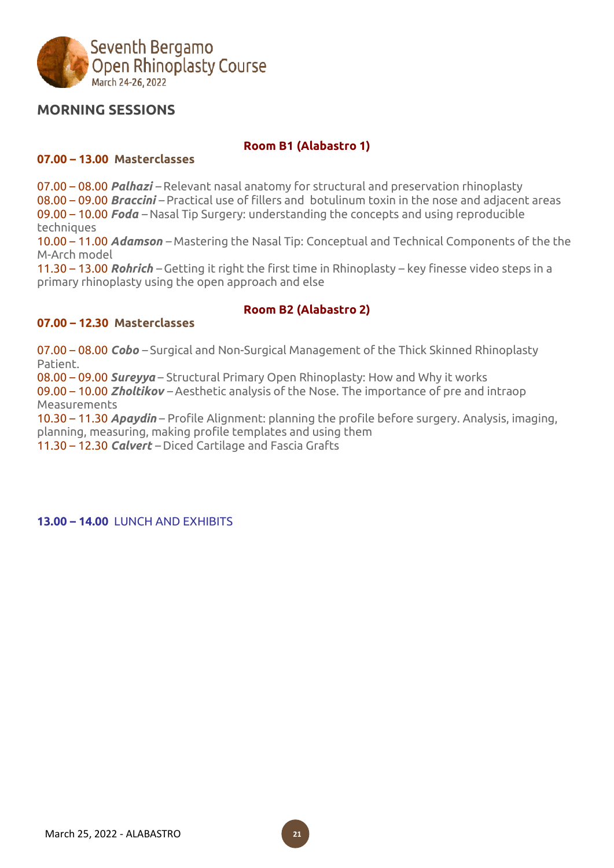

# **MORNING SESSIONS**

## **Room B1 (Alabastro 1)**

#### **07.00 – 13.00 Masterclasses**

07.00 – 08.00 *Palhazi –* Relevant nasal anatomy for structural and preservation rhinoplasty 08.00 – 09.00 *Braccini –* Practical use of fillers and botulinum toxin in the nose and adjacent areas 09.00 – 10.00 *Foda –* Nasal Tip Surgery: understanding the concepts and using reproducible techniques

10.00 – 11.00 *Adamson –* Mastering the Nasal Tip: Conceptual and Technical Components of the the M-Arch model

11.30 – 13.00 *Rohrich –* Getting it right the first time in Rhinoplasty – key finesse video steps in a primary rhinoplasty using the open approach and else

## **Room B2 (Alabastro 2)**

#### **07.00 – 12.30 Masterclasses**

07.00 – 08.00 *Cobo –* Surgical and Non-Surgical Management of the Thick Skinned Rhinoplasty Patient.

08.00 – 09.00 *Sureyya* – Structural Primary Open Rhinoplasty: How and Why it works

09.00 – 10.00 *Zholtikov –* Aesthetic analysis of the Nose. The importance of pre and intraop Measurements

10.30 – 11.30 *Apaydin* – Profile Alignment: planning the profile before surgery. Analysis, imaging, planning, measuring, making profile templates and using them 11.30 – 12.30 *Calvert –* Diced Cartilage and Fascia Grafts

**13.00 – 14.00** LUNCH AND EXHIBITS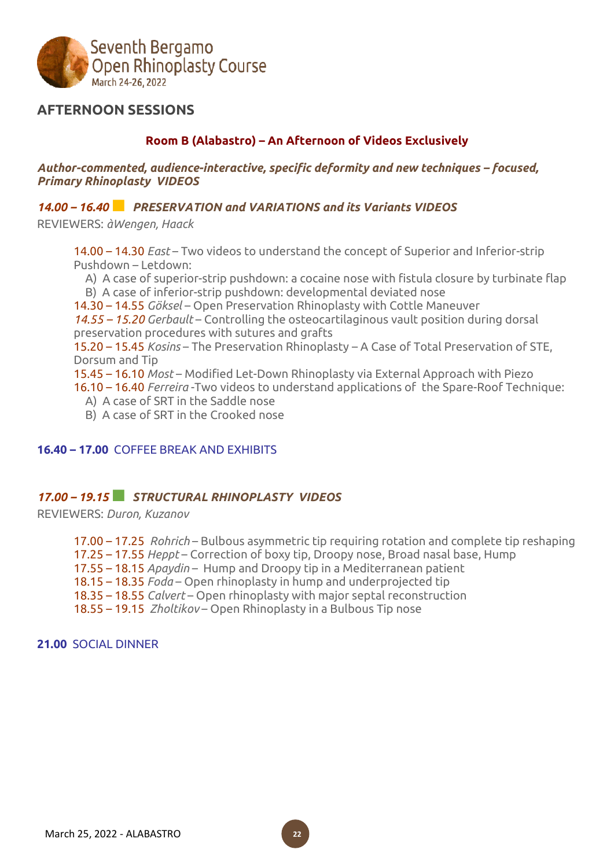

# **AFTERNOON SESSIONS**

# **Room B (Alabastro) – An Afternoon of Videos Exclusively**

*Author-commented, audience-interactive, specific deformity and new techniques – focused, Primary Rhinoplasty VIDEOS*

#### *14.00 – 16.40■ PRESERVATION and VARIATIONS and its Variants VIDEOS*

REVIEWERS: *àWengen, Haack*

14.00 – 14.30 *East* – Two videos to understand the concept of Superior and Inferior-strip Pushdown – Letdown:

A) A case of superior-strip pushdown: a cocaine nose with fistula closure by turbinate flap \_\_B) A case of inferior-strip pushdown: developmental deviated nose

14.30 – 14.55 *Göksel* – Open Preservation Rhinoplasty with Cottle Maneuver

*14.55 – 15.20 Gerbault* – Controlling the osteocartilaginous vault position during dorsal preservation procedures with sutures and grafts

15.20 – 15.45 *Kosins* – The Preservation Rhinoplasty – A Case of Total Preservation of STE, Dorsum and Tip

15.45 – 16.10 *Most* – Modified Let-Down Rhinoplasty via External Approach with Piezo

16.10 – 16.40 *Ferreira* -Two videos to understand applications of the Spare-Roof Technique:

- \_\_A) A case of SRT in the Saddle nose
- \_\_B) A case of SRT in the Crooked nose

#### **16.40 – 17.00** COFFEE BREAK AND EXHIBITS

## *17.00 – 19.15■ STRUCTURAL RHINOPLASTY VIDEOS*

REVIEWERS: *Duron, Kuzanov*

17.00 – 17.25 *Rohrich* – Bulbous asymmetric tip requiring rotation and complete tip reshaping 17.25 – 17.55 *Heppt* – Correction of boxy tip, Droopy nose, Broad nasal base, Hump 17.55 – 18.15 *Apaydin* – Hump and Droopy tip in a Mediterranean patient 18.15 – 18.35 *Foda* – Open rhinoplasty in hump and underprojected tip 18.35 – 18.55 *Calvert* – Open rhinoplasty with major septal reconstruction 18.55 – 19.15 *Zholtikov* – Open Rhinoplasty in a Bulbous Tip nose

#### **21.00** SOCIAL DINNER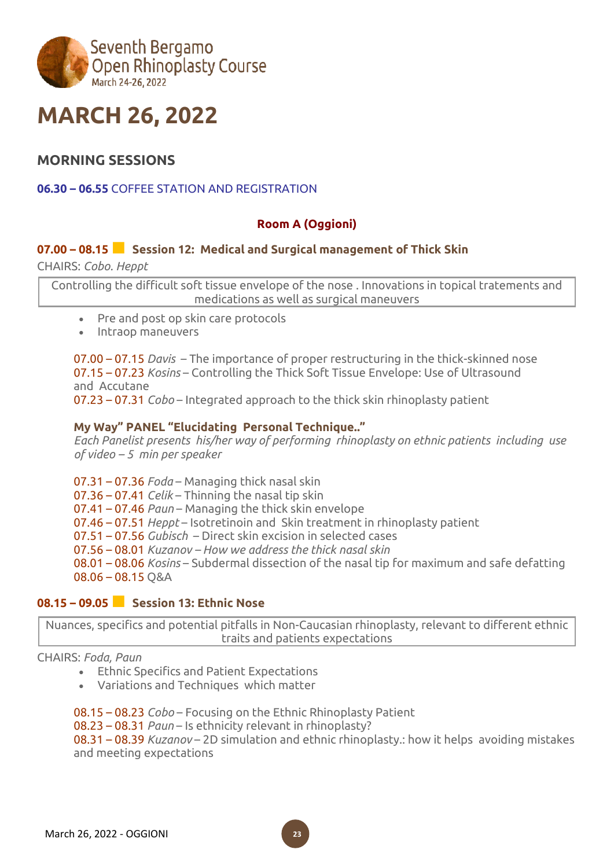

# **MARCH 26, 2022**

# **MORNING SESSIONS**

## **06.30 – 06.55** COFFEE STATION AND REGISTRATION

# **Room A (Oggioni)**

# **07.00 – 08.15■ Session 12: Medical and Surgical management of Thick Skin**

CHAIRS: *Cobo. Heppt*

Controlling the difficult soft tissue envelope of the nose . Innovations in topical tratements and medications as well as surgical maneuvers

- Pre and post op skin care protocols
- Intraop maneuvers

07.00 – 07.15 *Davis* – The importance of proper restructuring in the thick-skinned nose 07.15 – 07.23 *Kosins* – Controlling the Thick Soft Tissue Envelope: Use of Ultrasound and Accutane

07.23 – 07.31 *Cobo* – Integrated approach to the thick skin rhinoplasty patient

#### **My Way" PANEL "Elucidating Personal Technique.."**

*Each Panelist presents his/her way of performing rhinoplasty on ethnic patients including use of video – 5 min per speaker*

07.31 – 07.36 *Foda* – Managing thick nasal skin 07.36 – 07.41 *Celik* – Thinning the nasal tip skin 07.41 – 07.46 *Paun* – Managing the thick skin envelope 07.46 – 07.51 *Heppt* – Isotretinoin and Skin treatment in rhinoplasty patient 07.51 – 07.56 *Gubisch* – Direct skin excision in selected cases 07.56 – 08.01 *Kuzanov – How we address the thick nasal skin* 08.01 – 08.06 *Kosins* – Subdermal dissection of the nasal tip for maximum and safe defatting 08.06 – 08.15 Q&A

# **08.15 – 09.05■ Session 13: Ethnic Nose**

Nuances, specifics and potential pitfalls in Non-Caucasian rhinoplasty, relevant to different ethnic traits and patients expectations

#### CHAIRS: *Foda, Paun*

- Ethnic Specifics and Patient Expectations
- Variations and Techniques which matter

08.15 – 08.23 *Cobo* – Focusing on the Ethnic Rhinoplasty Patient

08.23 – 08.31 *Paun* – Is ethnicity relevant in rhinoplasty?

08.31 – 08.39 *Kuzanov* – 2D simulation and ethnic rhinoplasty.: how it helps avoiding mistakes and meeting expectations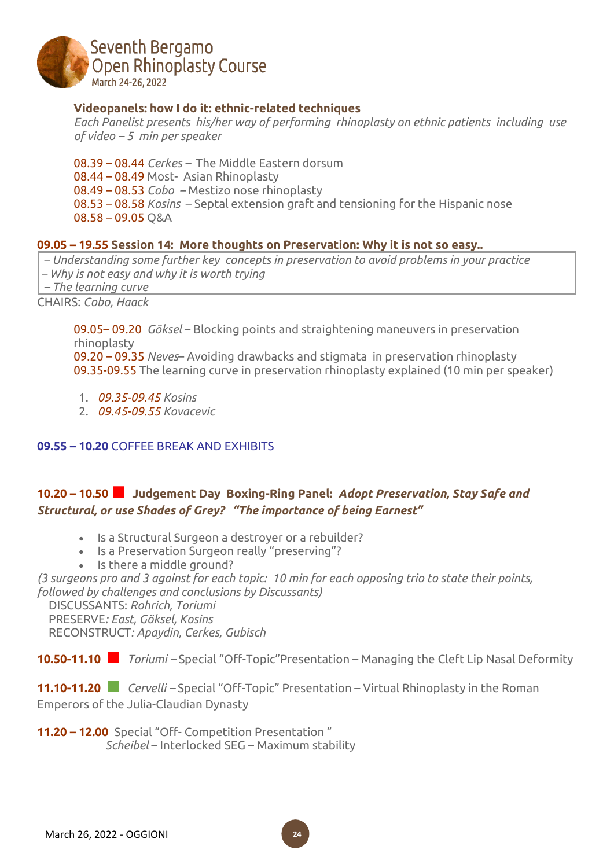

#### **Videopanels: how I do it: ethnic-related techniques**

*Each Panelist presents his/her way of performing rhinoplasty on ethnic patients including use of video – 5 min per speaker*

08.39 – 08.44 *Cerkes –* The Middle Eastern dorsum 08.44 – 08.49 Most- Asian Rhinoplasty 08.49 – 08.53 *Cobo –* Mestizo nose rhinoplasty 08.53 – 08.58 *Kosins* – Septal extension graft and tensioning for the Hispanic nose 08.58 – 09.05 Q&A

#### **09.05 – 19.55 Session 14: More thoughts on Preservation: Why it is not so easy..**

*– Understanding some further key concepts in preservation to avoid problems in your practice – Why is not easy and why it is worth trying – The learning curve*

CHAIRS: *Cobo, Haack*

09.05– 09.20 *Göksel* – Blocking points and straightening maneuvers in preservation rhinoplasty

09.20 – 09.35 *Neves*– Avoiding drawbacks and stigmata in preservation rhinoplasty 09.35-09.55 The learning curve in preservation rhinoplasty explained (10 min per speaker)

- 1. *09.35-09.45 Kosins*
- 2. *09.45-09.55 Kovacevic*

#### **09.55 – 10.20** COFFEE BREAK AND EXHIBITS

# **10.20 – 10.50■ Judgement Day Boxing-Ring Panel:** *Adopt Preservation, Stay Safe and Structural, or use Shades of Grey?**"The importance of being Earnest"*

- Is a Structural Surgeon a destroyer or a rebuilder?
- Is a Preservation Surgeon really "preserving"?
- Is there a middle ground?

(3 suraeons pro and 3 against for each topic: 10 min for each opposing trio to state their points, *followed by challenges and conclusions by Discussants)*

\_\_DISCUSSANTS: *Rohrich, Toriumi* \_\_PRESERVE*: East, Göksel, Kosins* \_\_RECONSTRUCT*: Apaydin, Cerkes, Gubisch*

**10.50-11.10 ■** *Toriumi –* Special "Off-Topic"Presentation – Managing the Cleft Lip Nasal Deformity

**11.10-11.20 ■** *Cervelli –* Special "Off-Topic" Presentation – Virtual Rhinoplasty in the Roman Emperors of the Julia-Claudian Dynasty

**24**

**11.20 – 12.00** Special "Off- Competition Presentation " *Scheibel* – Interlocked SEG – Maximum stability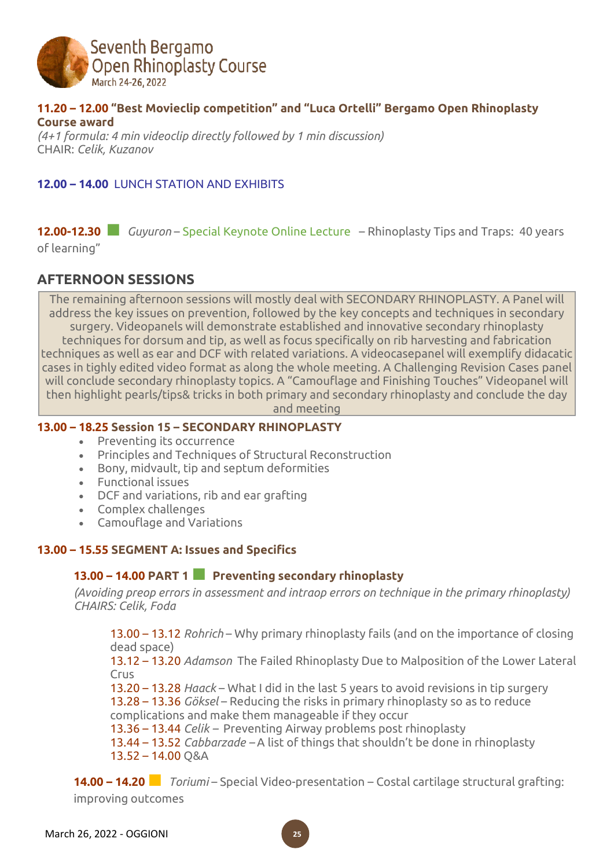

#### **11.20 – 12.00 "Best Movieclip competition" and "Luca Ortelli" Bergamo Open Rhinoplasty Course award**

*(4+1 formula: 4 min videoclip directly followed by 1 min discussion)* CHAIR: *Celik, Kuzanov*

# **12.00 – 14.00** LUNCH STATION AND EXHIBITS

# **12.00-12.30 ■** *Guyuron* – Special Keynote Online Lecture – Rhinoplasty Tips and Traps: 40 years

of learning"

# **AFTERNOON SESSIONS**

The remaining afternoon sessions will mostly deal with SECONDARY RHINOPLASTY. A Panel will address the key issues on prevention, followed by the key concepts and techniques in secondary surgery. Videopanels will demonstrate established and innovative secondary rhinoplasty techniques for dorsum and tip, as well as focus specifically on rib harvesting and fabrication techniques as well as ear and DCF with related variations. A videocasepanel will exemplify didacatic cases in tighly edited video format as along the whole meeting. A Challenging Revision Cases panel will conclude secondary rhinoplasty topics. A "Camouflage and Finishing Touches" Videopanel will then highlight pearls/tips& tricks in both primary and secondary rhinoplasty and conclude the day and meeting

#### **13.00 – 18.25 Session 15 – SECONDARY RHINOPLASTY**

- Preventing its occurrence
- Principles and Techniques of Structural Reconstruction
- Bony, midvault, tip and septum deformities
- Functional issues
- DCF and variations, rib and ear grafting
- Complex challenges
- Camouflage and Variations

## **13.00 – 15.55 SEGMENT A: Issues and Specifics**

## **13.00 – 14.00 PART <sup>1</sup>■ Preventing secondary rhinoplasty**

*(Avoiding preop errors in assessment and intraop errors on technique in the primary rhinoplasty) CHAIRS: Celik, Foda*

13.00 – 13.12 *Rohrich* – Why primary rhinoplasty fails (and on the importance of closing dead space)

13.12 – 13.20 *Adamson* The Failed Rhinoplasty Due to Malposition of the Lower Lateral Crus

13.20 – 13.28 *Haack* – What I did in the last 5 years to avoid revisions in tip surgery 13.28 – 13.36 *Göksel* – Reducing the risks in primary rhinoplasty so as to reduce complications and make them manageable if they occur

13.36 – 13.44 *Celik –* Preventing Airway problems post rhinoplasty

13.44 – 13.52 *Cabbarzade –* A list of things that shouldn't be done in rhinoplasty 13.52 – 14.00 Q&A

**14.00 – 14.20■** *Toriumi* – Special Video-presentation – Costal cartilage structural grafting: improving outcomes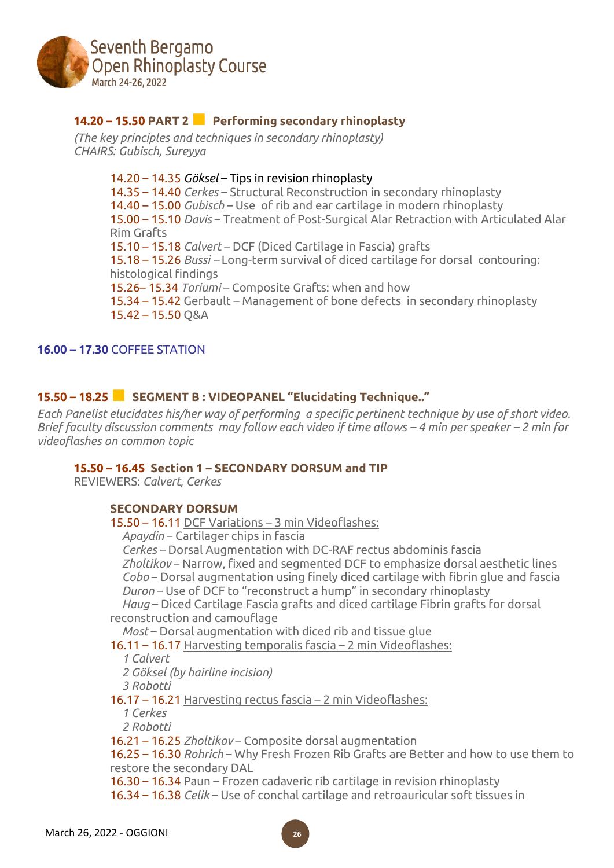

# **14.20 – 15.50 PART <sup>2</sup>■ Performing secondary rhinoplasty**

*(The key principles and techniques in secondary rhinoplasty) CHAIRS: Gubisch, Sureyya*

> 14.20 – 14.35 *Göksel* – Tips in revision rhinoplasty 14.35 – 14.40 *Cerkes* – Structural Reconstruction in secondary rhinoplasty 14.40 – 15.00 *Gubisch* – Use of rib and ear cartilage in modern rhinoplasty 15.00 – 15.10 *Davis* – Treatment of Post-Surgical Alar Retraction with Articulated Alar Rim Grafts 15.10 – 15.18 *Calvert* – DCF (Diced Cartilage in Fascia) grafts 15.18 – 15.26 *Bussi –* Long-term survival of diced cartilage for dorsal contouring: histological findings 15.26– 15.34 *Toriumi* – Composite Grafts: when and how 15.34 – 15.42 Gerbault – Management of bone defects in secondary rhinoplasty 15.42 – 15.50 Q&A

#### **16.00 – 17.30** COFFEE STATION

## **15.50 – 18.25***■* **SEGMENT <sup>B</sup> : VIDEOPANEL "Elucidating Technique.."**

*Each Panelist elucidates his/her way of performing a specific pertinent technique by use of short video.* Brief faculty discussion comments may follow each video if time allows  $-$  4 min per speaker  $-$  2 min for *videoflashes on common topic*

#### **15.50 – 16.45 Section 1 – SECONDARY DORSUM and TIP**

REVIEWERS: *Calvert, Cerkes*

#### **SECONDARY DORSUM**

15.50 – 16.11 DCF Variations – 3 min Videoflashes:

*\_\_Apaydin* – Cartilager chips in fascia

*\_\_Cerkes –* Dorsal Augmentation with DC-RAF rectus abdominis fascia *\_\_Zholtikov* – Narrow, fixed and segmented DCF to emphasize dorsal aesthetic lines *\_\_Cobo* – Dorsal augmentation using finely diced cartilage with fibrin glue and fascia *\_\_Duron* – Use of DCF to "reconstruct a hump" in secondary rhinoplasty *\_\_Haug* – Diced Cartilage Fascia grafts and diced cartilage Fibrin grafts for dorsal

reconstruction and camouflage

*Most* – Dorsal augmentation with diced rib and tissue glue

16.11 – 16.17 Harvesting temporalis fascia – 2 min Videoflashes:

*\_\_1 Calvert*

*\_\_2 Göksel (by hairline incision)*

*\_\_3 Robotti*

16.17 – 16.21 Harvesting rectus fascia – 2 min Videoflashes:

*\_\_1 Cerkes*

*\_\_2 Robotti*

16.21 – 16.25 *Zholtikov* – Composite dorsal augmentation

16.25 – 16.30 *Rohrich* – Why Fresh Frozen Rib Grafts are Better and how to use them to restore the secondary DAL

16.30 – 16.34 Paun – Frozen cadaveric rib cartilage in revision rhinoplasty

16.34 – 16.38 *Celik* – Use of conchal cartilage and retroauricular soft tissues in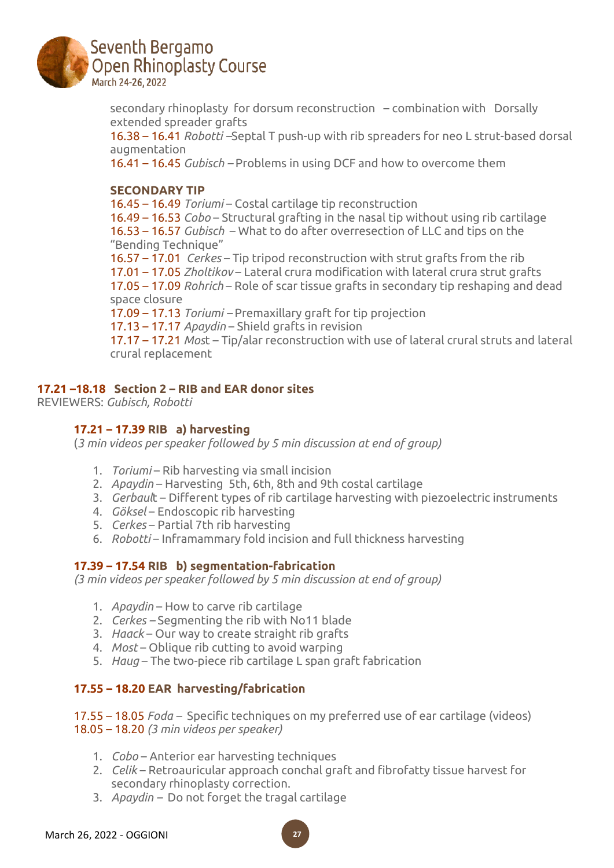

secondary rhinoplasty for dorsum reconstruction – combination with Dorsally extended spreader grafts

16.38 – 16.41 *Robotti –*Septal T push-up with rib spreaders for neo L strut-based dorsal augmentation

16.41 – 16.45 *Gubisch –* Problems in using DCF and how to overcome them

#### **SECONDARY TIP**

16.45 – 16.49 *Toriumi* – Costal cartilage tip reconstruction

16.49 – 16.53 *Cobo* – Structural grafting in the nasal tip without using rib cartilage 16.53 – 16.57 *Gubisch* – What to do after overresection of LLC and tips on the "Bending Technique"

16.57 – 17.01 *Cerkes* – Tip tripod reconstruction with strut grafts from the rib

17.01 – 17.05 *Zholtikov* – Lateral crura modification with lateral crura strut grafts

17.05 – 17.09 *Rohrich* – Role of scar tissue grafts in secondary tip reshaping and dead space closure

17.09 – 17.13 *Toriumi –* Premaxillary graft for tip projection

17.13 – 17.17 *Apaydin* – Shield grafts in revision

17.17 – 17.21 *Mos*t – Tip/alar reconstruction with use of lateral crural struts and lateral crural replacement

#### **17.21 –18.18 Section 2 – RIB and EAR donor sites**

REVIEWERS: *Gubisch, Robotti*

## **17.21 – 17.39 RIB a) harvesting**

(*3 min videos per speaker followed by 5 min discussion at end of group)*

- 1. *Toriumi* Rib harvesting via small incision
- 2. *Apaydin* Harvesting 5th, 6th, 8th and 9th costal cartilage
- 3. *Gerbaul*t Different types of rib cartilage harvesting with piezoelectric instruments
- 4. *Göksel* Endoscopic rib harvesting
- 5. *Cerkes* Partial 7th rib harvesting
- 6. *Robotti* Inframammary fold incision and full thickness harvesting

#### **17.39 – 17.54 RIB b) segmentation-fabrication**

*(3 min videos per speaker followed by 5 min discussion at end of group)*

- 1. *Apaydin* How to carve rib cartilage
- 2. *Cerkes –* Segmenting the rib with No11 blade
- 3. *Haack* Our way to create straight rib grafts
- 4. *Most* Oblique rib cutting to avoid warping
- 5. *Haug* The two-piece rib cartilage L span graft fabrication

## **17.55 – 18.20 EAR harvesting/fabrication**

17.55 – 18.05 *Foda –* Specific techniques on my preferred use of ear cartilage (videos) 18.05 – 18.20 *(3 min videos per speaker)*

- 1. *Cobo* Anterior ear harvesting techniques
- 2. *Celik* Retroauricular approach conchal graft and fibrofatty tissue harvest for secondary rhinoplasty correction.
- 3. *Apaydin –* Do not forget the tragal cartilage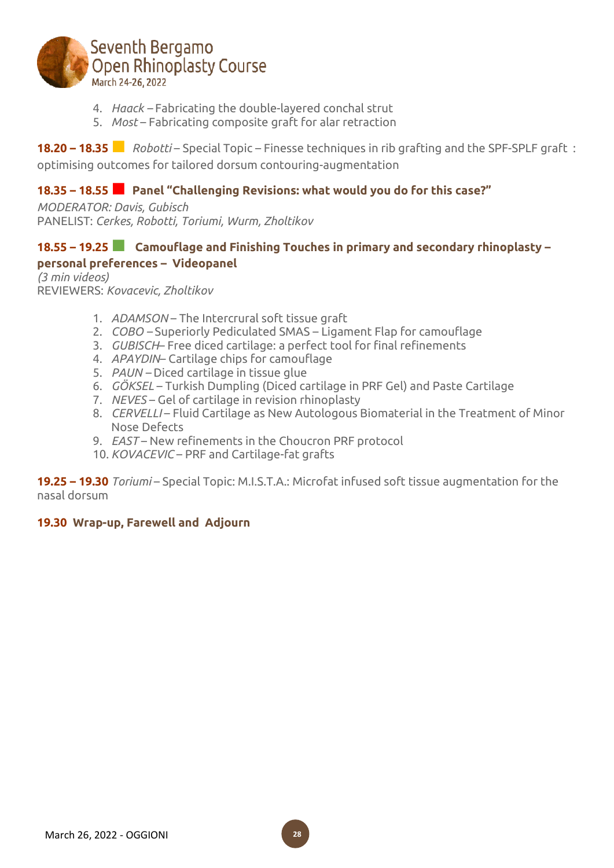

- 4. *Haack –* Fabricating the double-layered conchal strut
- 5. *Most* Fabricating composite graft for alar retraction

**18.20 – 18.35***■ Robotti* – Special Topic – Finesse techniques in rib grafting and the SPF-SPLF graft : optimising outcomes for tailored dorsum contouring-augmentation

# **18.35 – 18.55■ Panel "Challenging Revisions: what would you do for this case?"**

*MODERATOR: Davis, Gubisch* PANELIST: *Cerkes, Robotti, Toriumi, Wurm, Zholtikov*

## **18.55 – 19.25■ Camouflage and Finishing Touches in primary and secondary rhinoplasty – personal preferences – Videopanel**

*(3 min videos)* REVIEWERS: *Kovacevic, Zholtikov*

- 1. *ADAMSON* The Intercrural soft tissue graft
- 2. *COBO –* Superiorly Pediculated SMAS Ligament Flap for camouflage
- 3. *GUBISCH* Free diced cartilage: a perfect tool for final refinements
- 4. *APAYDIN* Cartilage chips for camouflage
- 5. *PAUN –* Diced cartilage in tissue glue
- 6. *GÖKSEL* Turkish Dumpling (Diced cartilage in PRF Gel) and Paste Cartilage
- 7. *NEVES* Gel of cartilage in revision rhinoplasty
- 8. *CERVELLI* Fluid Cartilage as New Autologous Biomaterial in the Treatment of Minor Nose Defects
- 9. *EAST* New refinements in the Choucron PRF protocol
- 10. *KOVACEVIC* PRF and Cartilage-fat grafts

**19.25 – 19.30** *Toriumi* – Special Topic: M.I.S.T.A.: Microfat infused soft tissue augmentation for the nasal dorsum

## **19.30 Wrap-up, Farewell and Adjourn**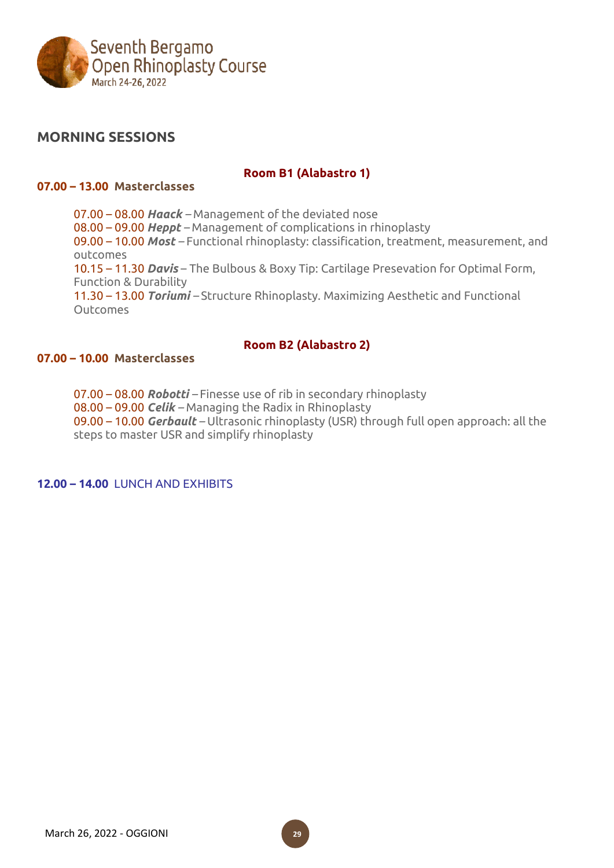

# **MORNING SESSIONS**

## **Room B1 (Alabastro 1)**

#### **07.00 – 13.00 Masterclasses**

07.00 – 08.00 *Haack –* Management of the deviated nose 08.00 – 09.00 *Heppt –* Management of complications in rhinoplasty 09.00 – 10.00 *Most –* Functional rhinoplasty: classification, treatment, measurement, and outcomes 10.15 – 11.30 *Davis* – The Bulbous & Boxy Tip: Cartilage Presevation for Optimal Form, Function & Durability 11.30 – 13.00 *Toriumi –* Structure Rhinoplasty. Maximizing Aesthetic and Functional **Outcomes** 

## **Room B2 (Alabastro 2)**

## **07.00 – 10.00 Masterclasses**

07.00 – 08.00 *Robotti –* Finesse use of rib in secondary rhinoplasty 08.00 – 09.00 *Celik –* Managing the Radix in Rhinoplasty 09.00 – 10.00 *Gerbault –* Ultrasonic rhinoplasty (USR) through full open approach: all the steps to master USR and simplify rhinoplasty

**12.00 – 14.00** LUNCH AND EXHIBITS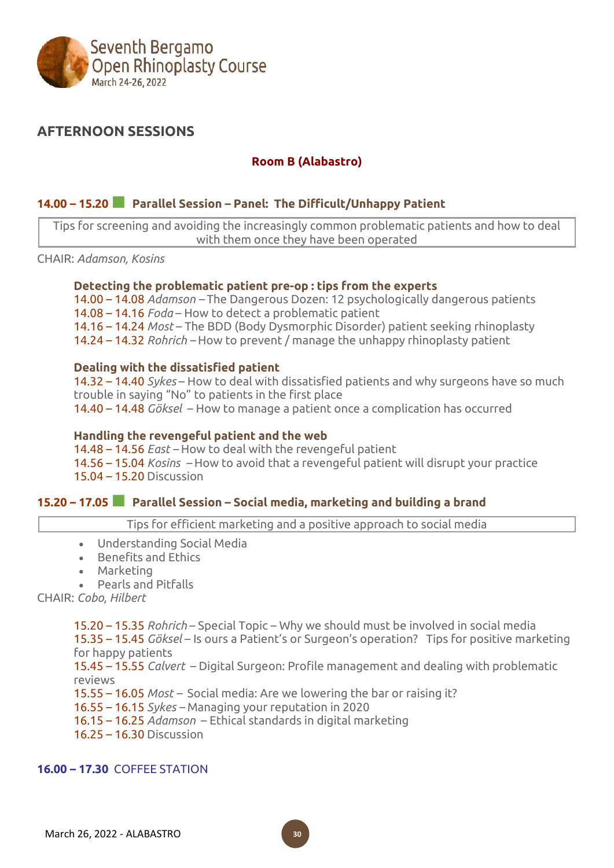

# **AFTERNOON SESSIONS**

## **Room B (Alabastro)**

## **14.00 – 15.20■ Parallel Session – Panel: The Difficult/Unhappy Patient**

Tips for screening and avoiding the increasingly common problematic patients and how to deal with them once they have been operated

CHAIR: *Adamson, Kosins*

#### **Detecting the problematic patient pre-op : tips from the experts**

14.00 – 14.08 *Adamson –* The Dangerous Dozen: 12 psychologically dangerous patients 14.08 – 14.16 *Foda* – How to detect a problematic patient 14.16 – 14.24 *Most* – The BDD (Body Dysmorphic Disorder) patient seeking rhinoplasty 14.24 – 14.32 *Rohrich –* How to prevent / manage the unhappy rhinoplasty patient

#### **Dealing with the dissatisfied patient**

14.32 – 14.40 *Sykes* – How to deal with dissatisfied patients and why surgeons have so much trouble in saying "No" to patients in the first place

14.40 – 14.48 *Göksel* – How to manage a patient once a complication has occurred

#### **Handling the revengeful patient and the web**

14.48 – 14.56 *East –* How to deal with the revengeful patient 14.56 – 15.04 *Kosins –* How to avoid that a revengeful patient will disrupt your practice 15.04 – 15.20 Discussion

## **15.20 – 17.05■ Parallel Session – Social media, marketing and building <sup>a</sup> brand**

Tips for efficient marketing and a positive approach to social media

- Understanding Social Media
- Benefits and Ethics
- Marketing
- Pearls and Pitfalls

CHAIR: *Cobo, Hilbert*

15.20 – 15.35 *Rohrich* – Special Topic – Why we should must be involved in social media

15.35 – 15.45 *Göksel* – Is ours a Patient's or Surgeon's operation? Tips for positive marketing for happy patients

15.45 – 15.55 *Calvert* – Digital Surgeon: Profile management and dealing with problematic reviews

15.55 – 16.05 *Most –* Social media: Are we lowering the bar or raising it?

16.55 – 16.15 *Sykes –* Managing your reputation in 2020

16.15 – 16.25 *Adamson* – Ethical standards in digital marketing

16.25 – 16.30 Discussion

# **16.00 – 17.30** COFFEE STATION